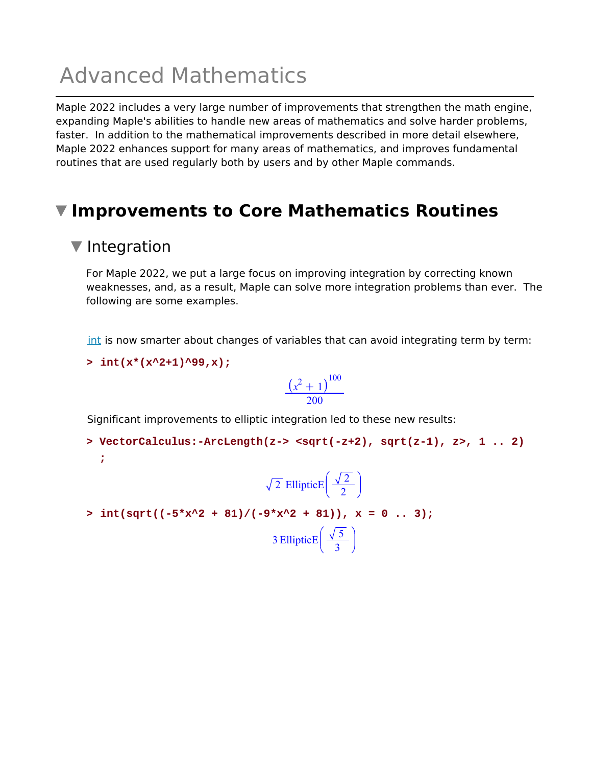# Advanced Mathematics

Maple 2022 includes a very large number of improvements that strengthen the math engine, expanding Maple's abilities to handle new areas of mathematics and solve harder problems, faster. In addition to the mathematical improvements described in more detail elsewhere, Maple 2022 enhances support for many areas of mathematics, and improves fundamental routines that are used regularly both by users and by other Maple commands.

## **Improvements to Core Mathematics Routines**

#### ▼ Integration

**;**

For Maple 2022, we put a large focus on improving integration by correcting known weaknesses, and, as a result, Maple can solve more integration problems than ever. The following are some examples.

int is now smarter about changes of variables that can avoid integrating term by term:

**> int(x\*(x^2+1)^99,x);**

$$
\frac{\left(x^2+1\right)^{100}}{200}
$$

Significant improvements to elliptic integration led to these new results:

> VectorCalculus:-ArcLength(z-> <sqrt(-z+2), sqrt(z-1), z>, 1 .. 2)

$$
\sqrt{2} \text{ EllipticE}\left(\frac{\sqrt{2}}{2}\right)
$$

 $> int(sqrt((-5*x^2 + 81)/(-9*x^2 + 81)), x = 0 ... 3);$ 3 EllipticE $\left(\frac{\sqrt{5}}{3}\right)$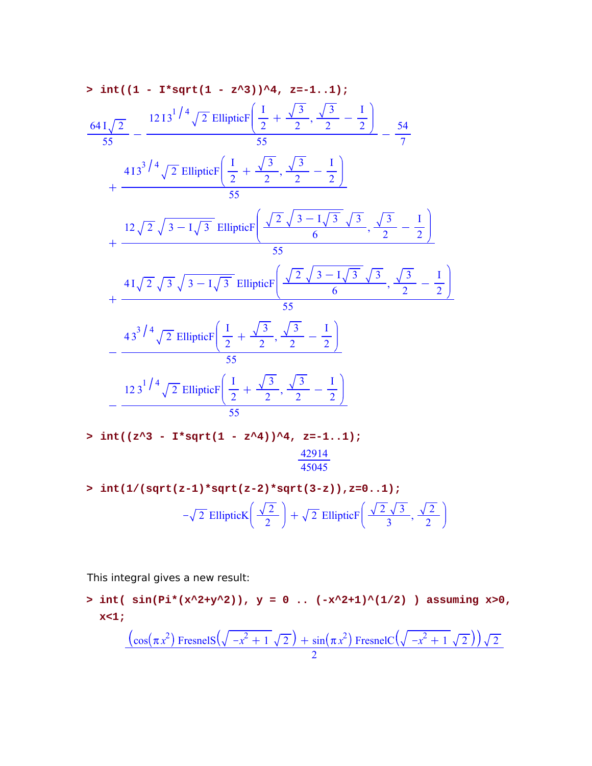> int((1 - I\*sqrt(1 - z<sup>2</sup>3))<sup>4</sup>, z=-1...1);  
\n
$$
\frac{641\sqrt{2}}{55} - \frac{1213^{1/4}\sqrt{2} \text{ EllipticF}\left(\frac{1}{2} + \frac{\sqrt{3}}{2}, \frac{\sqrt{3}}{2} - \frac{1}{2}\right)}{55} - \frac{413^{3/4}\sqrt{2} \text{ EllipticF}\left(\frac{1}{2} + \frac{\sqrt{3}}{2}, \frac{\sqrt{3}}{2} - \frac{1}{2}\right)}{55} + \frac{12\sqrt{2}\sqrt{3}-1\sqrt{3} \text{ EllipticF}\left(\frac{\sqrt{2}\sqrt{3}-1\sqrt{3}}{6}, \frac{\sqrt{3}}{2} - \frac{1}{2}\right)}{55} + \frac{41\sqrt{2}\sqrt{3}\sqrt{3}-1\sqrt{3} \text{ EllipticF}\left(\frac{\sqrt{2}\sqrt{3}-1\sqrt{3}}{6}, \frac{\sqrt{3}}{2} - \frac{1}{2}\right)}{55} - \frac{43^{3/4}\sqrt{2} \text{ EllipticF}\left(\frac{1}{2} + \frac{\sqrt{3}}{2}, \frac{\sqrt{3}}{2} - \frac{1}{2}\right)}{55} - \frac{123^{1/4}\sqrt{2} \text{ EllipticF}\left(\frac{1}{2} + \frac{\sqrt{3}}{2}, \frac{\sqrt{3}}{2} - \frac{1}{2}\right)}{55} - \frac{123^{1/4}\sqrt{2} \text{ EllipticF}\left(\frac{1}{2} + \frac{\sqrt{3}}{2}, \frac{\sqrt{3}}{2} - \frac{1}{2}\right)}{55}
$$

- $> int((z^3 I^*sqrt(1 z^4))^4, z=-1..1);$
- **> int(1/(sqrt(z-1)\*sqrt(z-2)\*sqrt(3-z)),z=0..1);**  $-\sqrt{2}$  EllipticK $\left(\frac{\sqrt{2}}{2}\right) + \sqrt{2}$  EllipticF $\left(\frac{\sqrt{2}\sqrt{3}}{3}, \frac{\sqrt{2}}{2}\right)$

This integral gives a new result:

> int(  $\sin(Pi*(x^2+y^2))$ ,  $y = 0$  ..  $(-x^2+1)^(1/2)$  ) assuming  $x>0$ , **x<1;**

$$
\frac{(\cos(\pi x^2) \text{ FresnelS}(\sqrt{-x^2+1} \sqrt{2}) + \sin(\pi x^2) \text{ FresnelC}(\sqrt{-x^2+1} \sqrt{2}))\sqrt{2}}{2}
$$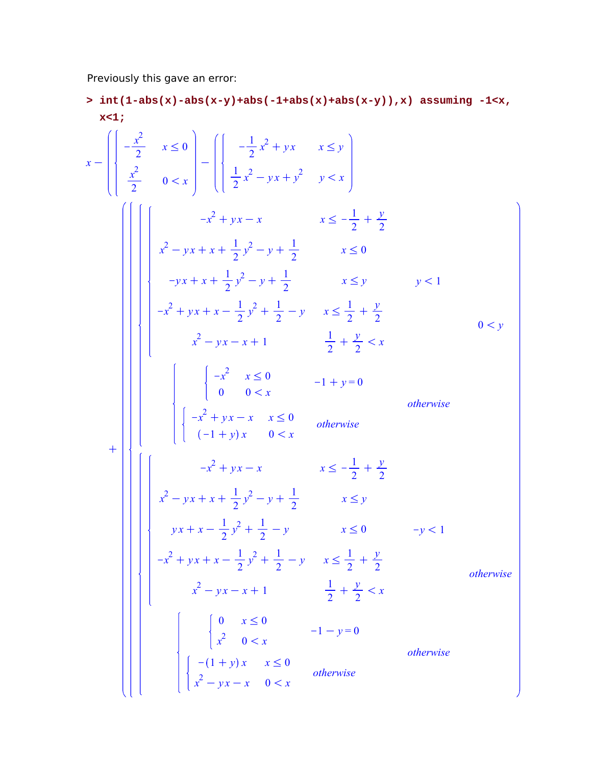Previously this gave an error:

**int(1-abs(x)-abs(x-y)+abs(-1+abs(x)+abs(x-y)),x) assuming -1<x, > x<1;**  $\mathbf{x}$  –  $-\frac{x^2}{2}$  $\frac{x}{2}$   $x \leq 0$ *x* 2  $\frac{x}{2}$  0 < x  $\rightarrow$  $-\frac{1}{2}$  $\frac{1}{2}x^2 + yx$   $x \leq y$ 1  $\frac{1}{2}x^2 - yx + y^2$   $y < x$  $+$  $-x^2 + yx - x$   $x \le -\frac{1}{2}$  $\frac{1}{2} + \frac{y}{2}$ 2  $x^2 - yx + x + \frac{1}{2}$  $\frac{1}{2}y^2 - y + \frac{1}{2}$  $\frac{1}{2}$   $x \leq 0$  $-yx + x + \frac{1}{2}$  $\frac{1}{2}y^2 - y + \frac{1}{2}$  $\frac{1}{2}$   $x \leq y$  $-x^{2} + yx + x - \frac{1}{2}$  $\frac{1}{2}y^2 + \frac{1}{2}$  $\frac{1}{2} - y$   $x \le \frac{1}{2}$  $\frac{1}{2} + \frac{y}{2}$ 2  $x^2 - yx - x + 1$  1  $\frac{1}{2} + \frac{y}{2}$  $\frac{y}{2}$  < *x*  $y < 1$  $-x^2$   $x \leq 0$ 0  $0 < x$  $-1 + y = 0$  $-x^2 + yx - x \quad x \leq 0$  $(-1 + y)x$  0 < *x otherwise otherwise*  $0 < y$  $-x^2 + yx - x$   $x \le -\frac{1}{2}$  $\frac{1}{2} + \frac{y}{2}$ 2  $x^2 - yx + x + \frac{1}{2}$  $\frac{1}{2}y^2 - y + \frac{1}{2}$  $\frac{1}{2}$   $x \leq y$  $yx + x - \frac{1}{2}$  $\frac{1}{2}y^2 + \frac{1}{2}$  $\frac{1}{2} - y$   $x \le 0$   $-y < 1$  $-x^{2} + yx + x - \frac{1}{2}$  $\frac{1}{2}y^2 + \frac{1}{2}$  $\frac{1}{2} - y$   $x \leq \frac{1}{2}$  $\frac{1}{2} + \frac{y}{2}$ 2  $x^2 - yx - x + 1$  1  $\frac{1}{2} + \frac{y}{2}$  $\frac{y}{2}$  < *x* 0  $x \leq 0$  $x^2$   $0 < x$  $-1 - y = 0$  $-(1 + y)x$   $x \le 0$ *x*<sup>2</sup> - *yx* - *x* 0 < *x otherwise otherwise otherwise*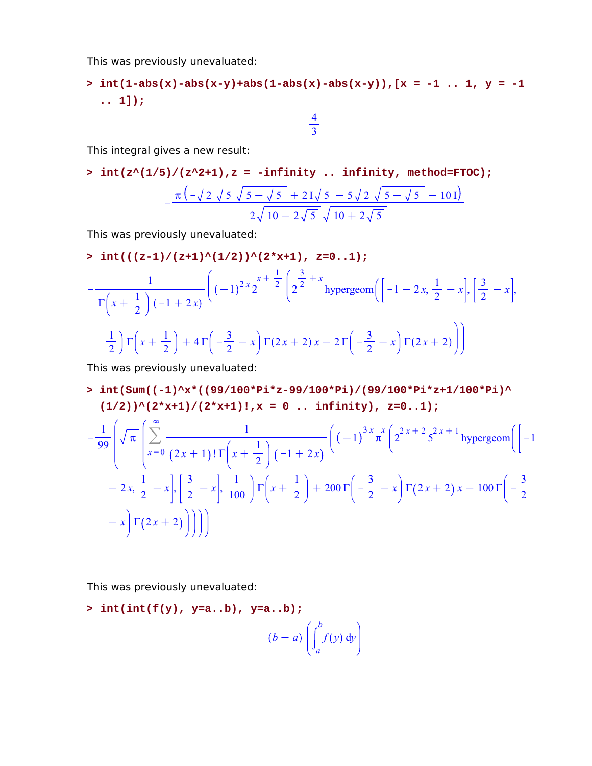This was previously unevaluated:

>  $\text{int}(1-\text{abs}(x)-\text{abs}(x-y)+\text{abs}(1-\text{abs}(x)-\text{abs}(x-y))$ ,  $[x = -1, 1, y = -1]$ **.. 1]);**

> 4 3

This integral gives a new result:

 $\frac{\sinh(z^2(1/5))/(z^2+1)}{z}$  = -infinity .. infinity, method=FTOC);

$$
-\frac{\pi(\sqrt{2}\sqrt{5}\sqrt{5-\sqrt{5}}+21\sqrt{5}-5\sqrt{2}\sqrt{5-\sqrt{5}}-101)}{2\sqrt{10-2\sqrt{5}}\sqrt{10+2\sqrt{5}}}
$$

This was previously unevaluated:

 $\frac{\text{int}((z-1)/(z+1)^{(1/2)})^{(2*x+1)}$ ,  $z=0..1);$  $-$ 1  $\Gamma\left(x+\frac{1}{2}\right)$  $\frac{1}{2}$   $\Big( -1 + 2x \Big)$  $(-1)^{2x}2^{x}$  $x+\frac{1}{2}$ <sup>2</sup> 2 3  $\frac{3}{2} + x$ hypergeom  $\left( \left[ -1 \right. -2x, \frac{1}{2} \right]$  $\frac{1}{2} - x\Big\}, \Big[\frac{3}{2}\Big]$  $\frac{3}{2} - x$ , 1  $\frac{1}{2}$ )  $\Gamma\left(x+\frac{1}{2}\right)$  $\left(\frac{1}{2}\right)$  + 4  $\Gamma\left(-\frac{3}{2}\right)$  $\left(\frac{3}{2} - x\right) \Gamma(2x + 2) x - 2 \Gamma\left(-\frac{3}{2}\right)$  $\frac{3}{2} - x \int \Gamma(2x + 2)$ 

This was previously unevaluated:

**int(Sum((-1)^x\*((99/100\*Pi\*z-99/100\*Pi)/(99/100\*Pi\*z+1/100\*Pi)^ >**   $(1/2))^{\wedge}(2*x+1)/(2*x+1)!, x = 0 ... infinity), z=0..1);$ 

$$
-\frac{1}{99} \left( \sqrt{\pi} \left( \sum_{x=0}^{\infty} \frac{1}{(2x+1)! \Gamma\left(x + \frac{1}{2}\right) (-1+2x)} \left( (-1)^{3x} \pi^{x} \left( 2^{2x+2} 5^{2x+1} \text{hypergeom} \right) \right) \right) - 2x, \frac{1}{2} - x \Big|, \left[ \frac{3}{2} - x \right], \frac{1}{100} \Big| \Gamma\left(x + \frac{1}{2}\right) + 200 \Gamma\left(-\frac{3}{2} - x\right) \Gamma(2x+2) x - 100 \Gamma\left(-\frac{3}{2} - x\right) \Gamma(2x+2) \Big| \Big|
$$

This was previously unevaluated:

**> int(int(f(y), y=a..b), y=a..b);**

$$
(b-a)\left(\int_a^b f(y) \, \mathrm{d}y\right)
$$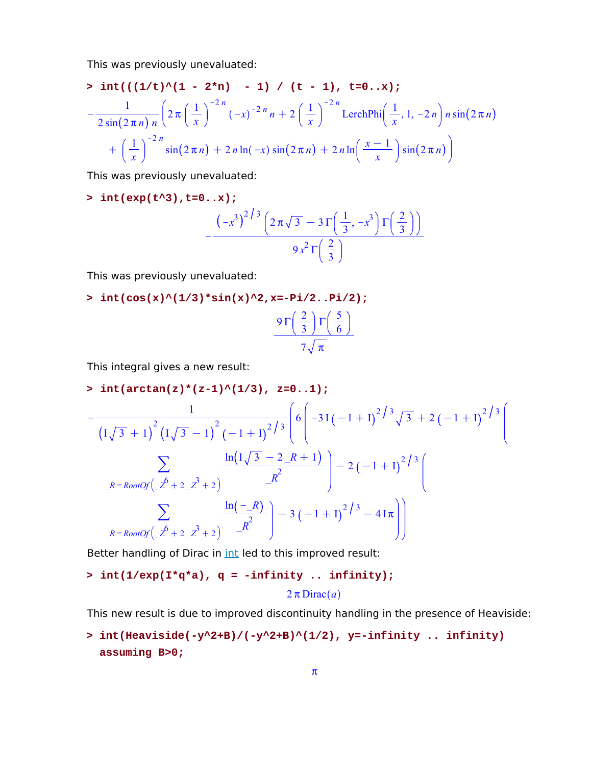This was previously unevaluated:

$$
\begin{aligned}\n&\text{int}((1/t)^{2}(1 - 2\pi n) - 1) / (t - 1), \quad t = 0..x);\n\end{aligned}
$$
\n
$$
-\frac{1}{2\sin(2\pi n)n} \left(2\pi \left(\frac{1}{x}\right)^{-2n}(-x)^{-2n}n + 2\left(\frac{1}{x}\right)^{-2n} \text{LerchPhi} \left(\frac{1}{x}, 1, -2n\right)n\sin(2\pi n)\n+ \left(\frac{1}{x}\right)^{-2n}\sin(2\pi n) + 2n\ln(-x)\sin(2\pi n) + 2n\ln\left(\frac{x-1}{x}\right)\sin(2\pi n)\right)
$$

This was previously unevaluated:

**> int(exp(t^3),t=0..x);**

$$
-\frac{\left(-x^3\right)^{2/3}\left(2\,\pi\,\sqrt{3}\, -\, 3\,\Gamma\left(\frac{1}{3},\, -x^3\right)\Gamma\left(\frac{2}{3}\right)\right)}{9\,x^2\,\Gamma\left(\frac{2}{3}\right)}
$$

This was previously unevaluated:

**> int(cos(x)^(1/3)\*sin(x)^2,x=-Pi/2..Pi/2);**

$$
\frac{9\,\Gamma\left(\frac{2}{3}\right)\Gamma\left(\frac{5}{6}\right)}{7\sqrt{\pi}}
$$

This integral gives a new result:

**> int(arctan(z)\*(z-1)^(1/3), z=0..1);**  $-$ 1  $I\sqrt{3} + 1$ 2  $\frac{1}{\sqrt{3}-1}$   $\left| \frac{(-1+1)^{2}}{3} \right|$  6  $\left| \frac{-31(-1+1)^{2}}{3} \sqrt{3} + 2(-1+1)^{2}} \right|$  3  $\sum_{\ell}$  $R = RootOf(\_Z^6 + 2\_Z^3 + 2)$  $ln(1/3 - 2/R + 1)$ *\_R*  $\frac{2}{2}$  $\frac{2}{1}$   $\left(-2(-1+1)^{2/3}\right)$  $\sum_{\ell}$  $R = RootOf(\_Z^6 + 2\_Z^3 + 2)$  $ln(-R)$ *\_R*  $\left[\frac{R}{2}\right]$  - 3 (-1 + I)<sup>2</sup>/<sup>3</sup> - 4I $\pi$ 

Better handling of Dirac in *int* led to this improved result:

$$
\verb&| \quad int(1/\exp(\mathbf{I}^*q^*a), q = -infinity .. infinity); \\ \quad 2\pi \text{Dirac}(a)
$$

This new result is due to improved discontinuity handling in the presence of Heaviside:

**int(Heaviside(-y^2+B)/(-y^2+B)^(1/2), y=-infinity .. infinity) > assuming B>0;**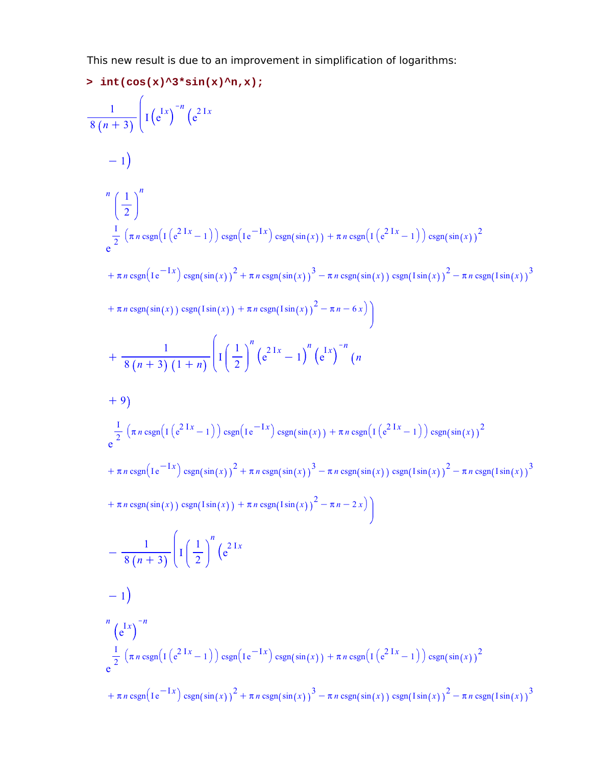This new result is due to an improvement in simplification of logarithms:

5 int (cos (x) ∧ 3 \* sin (x) ∧ n, x);  
\n
$$
\frac{1}{8 (n + 3)} \Bigg[ 1 (e^{1x})^{-n} (e^{21x} - 1) \Bigg] \cosh(t e^{-1x}) \cosh(t e^{-1x}) \cosh(t e^{21x} - 1) \Bigg] \cosh(t e^{21x} - 1) \Bigg] \cosh(t e^{21x} - 1) \Bigg] \cosh(t e^{21x} - 1) \Bigg] \cosh(t e^{-1x}) \cosh(t e^{21x} - 1) \Bigg] \cosh(t e^{-1x}) \sin(t \sin(t))^{2} + \pi n \cosh(t e^{-1x}) \sin(t \sin(t))^{2} - \pi n \cosh(t \sin(t))^{2} - \pi n \cosh(t \sin(t))^{2} \Bigg] \sin(t \sin(t)) \Bigg] \sin(t \sin(t))^{2} \Bigg] \cosh(t \sin(t)) \sin(t \sin(t))^{2} \Bigg] \cosh(t \sin(t)) \sin(t \sin(t)) \Bigg] \cos(t \sin(t)) \sin(t \sin(t)) \Bigg] \cos(t \sin(t)) \sin(t \sin(t)) \Bigg] \cos(t \sin(t)) \sin(t \sin(t)) \Bigg] \cos(t \sin(t)) \Bigg] \cos(t \sin(t)) \Bigg] \cos(t \sin(t)) \Bigg] \cos(t \sin(t)) \Bigg] \cos(t \sin(t)) \Bigg] \cos(t \sin(t)) \Bigg] \cos(t \sin(t)) \Bigg] \cos(t \sin(t)) \Bigg] \cos(t \sin(t)) \Bigg] \cos(t \sin(t)) \Bigg] \cos(t \sin(t)) \Bigg] \cos(t \sin(t)) \Bigg] \cos(t \sin(t)) \Bigg] \cos(t \sin(t)) \Bigg] \cos(t \sin(t)) \Bigg] \cos(t \sin(t)) \Bigg] \cos(t \sin(t)) \Bigg] \cos(t \sin(t)) \Bigg] \cos(t \sin(t)) \Bigg] \cos(t \sin(t)) \Bigg] \cos(t \sin(t)) \Bigg] \cos(t \sin(t)) \Bigg] \cos(t \sin(t)) \Bigg] \cos(t \sin(t)) \Bigg] \cos(t \sin(t)) \Bigg] \cos(t \sin(t)) \Bigg] \cos(t \sin(t)) \Bigg] \cos(t \sin(t)) \Bigg] \cos(t \sin(t)) \Bigg] \cos(t \sin(t)) \Bigg] \cos(t \sin(t)) \Bigg] \cos(t \sin(t)) \Bigg] \cos(t \sin(t)) \Bigg] \cos(t \sin(t)) \Bigg] \cos(t \sin
$$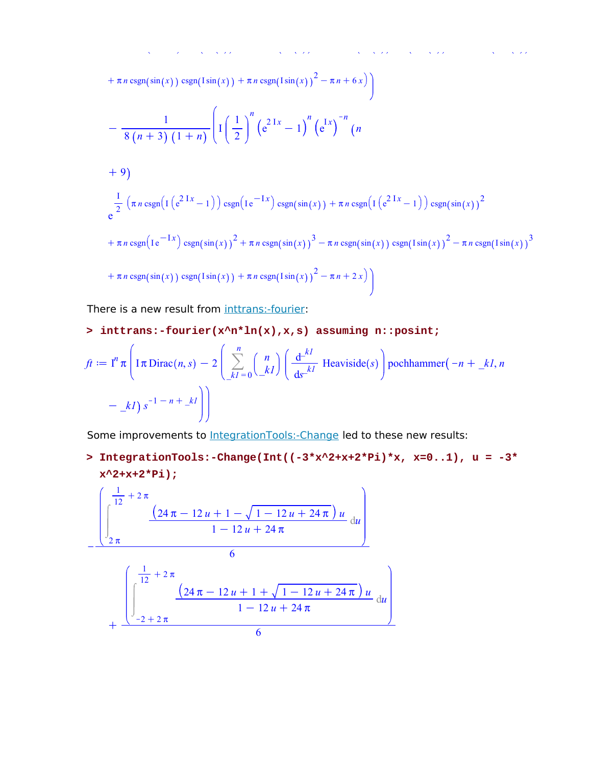$$
+ \pi n \csc(n(\sin(x)) \csc(n(\sin(x))) + \pi n \csc(n(\sin(x)))^2 - \pi n + 6x)
$$
  
\n
$$
- \frac{1}{8(n+3)(1+n)} \left( I \left( \frac{1}{2} \right)^n \left( e^{2 \int x} - 1 \right)^n \left( e^{2 \int x} - 1 \right)^n (n+9)
$$
  
\n
$$
+ 9
$$
  
\n
$$
\frac{1}{e^2} \left( \pi n \csc(n(\frac{1}{e^{2 \int x} - 1)}) \csc(n(\sin(x)) + \pi n \csc(n(\sin(x))) + \pi n \csc(n(\sin(x)))^2 \right)
$$
  
\n
$$
+ \pi n \csc(n(\cos(n(\sin(x)))^2 + \pi n \csc(n(\sin(x)))^3 - \pi n \csc(n(\sin(x)))^2 - \pi n \csc(n(\sin(x)))^2 - \pi n \csc(n(\sin(x)))^3
$$
  
\n
$$
+ \pi n \csc(n(\sin(x)) \csc(n(\sin(x))) + \pi n \csc(n(\sin(x)))^2 - \pi n + 2x)
$$

There is a new result from inttrans:-fourier:

#### **> inttrans:-fourier(x^n\*ln(x),x,s) assuming n::posint;**

$$
ft := In \pi \left( I \pi Dirac(n, s) - 2 \left( \sum_{k=0}^{n} {n \choose k} \left( \frac{d^{-k}}{ds^{-k}} \text{Heaviside}(s) \right) \text{pochhammer}(-n + \underline{k}l, n - \underline{k}l) s^{-1 - n + \underline{k}l} \right) \right)
$$

Some improvements to IntegrationTools:-Change led to these new results:

**IntegrationTools:-Change(Int((-3\*x^2+x+2\*Pi)\*x, x=0..1), u = -3\* > x^2+x+2\*Pi);**

$$
-\frac{\left(\int_{2\pi}^{\frac{1}{12}+2\pi}\frac{(24\pi-12u+1-\sqrt{1-12u+24\pi})u}{1-12u+24\pi}du\right)}{6}
$$

$$
+\frac{\left(\int_{-2+2\pi}^{\frac{1}{12}+2\pi}\frac{(24\pi-12u+1+\sqrt{1-12u+24\pi})u}{1-12u+24\pi}du\right)}{6}
$$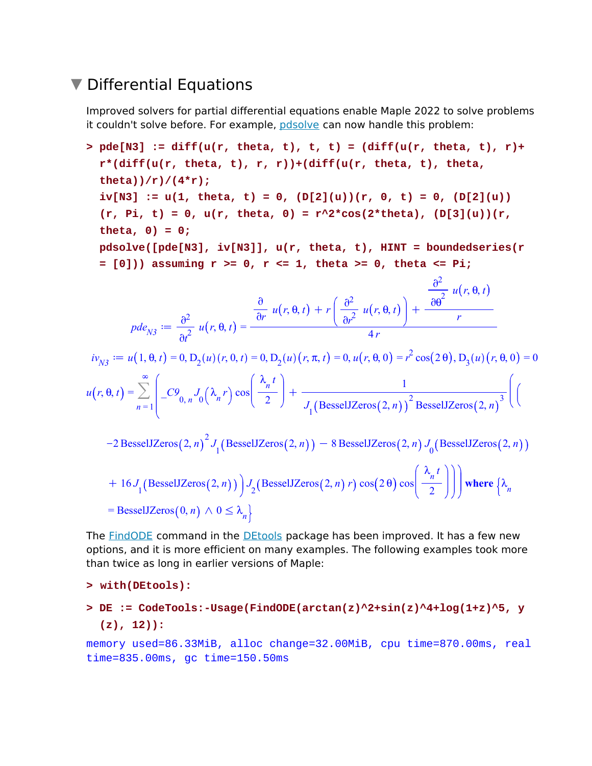#### ▼ Differential Equations

Improved solvers for partial differential equations enable Maple 2022 to solve problems it couldn't solve before. For example, pdsolve can now handle this problem:

> pde[N3] := diff(u(r, theta, t), t, t) = (diff(u(r, theta, t), r) +  
\nr\*(diff(u(r, theta, t), r, r))+(diff(u(r, theta, t), theta,  
\ntheta))/r)/(4\*r;  
\niv[N3] := u(1, theta, t) = 0, (D[2](u))(r, 0, t) = 0, (D[2](u))  
\n(r, Pi, t) = 0, u(r, theta, 0) = r^2\*cos(2\*theta), (D[3](u))(r,  
\ntheta, 0) = 0;  
\npdsolve([pde[N3], iv[N3]], u(r, theta, t), HINT = boundedseries(r  
\n= [0])) assuming r >= 0, r <= 1, theta >= 0, theta <= Pi;  
\n
$$
pde_{N3} := \frac{\partial^2}{\partial t^2} u(r, \theta, t) = \frac{\frac{\partial}{\partial r} u(r, \theta, t) + r\left(\frac{\partial^2}{\partial t^2} u(r, \theta, t)\right) + \frac{\frac{\partial^2}{\partial \theta^2} u(r, \theta, t)}{r}}{4r}
$$
\n
$$
iv_{N3} := u(1, \theta, t) = 0, D_2(u)(r, 0, t) = 0, D_2(u)(r, \pi, t) = 0, u(r, \theta, 0) = r^2 cos(2\theta), D_3(u)(r, \theta, 0) = 0\nu(r, \theta, t) = \sum_{n=1}^{\infty} \left[ -C^9 \theta_n J_0(\lambda_n r) cos\left(\frac{\lambda_n t}{2}\right) + \frac{1}{J_1(BesselJZeros(2, n))^2 BesselJZeros(2, n)^3}\right] \left( \frac{C^7 \theta_n^2}{2} + \frac{1}{C^7 \theta_n^2}\right)
$$
\n
$$
+ 16J_1(BesselJZeros(2, n)^2 J_1(BesselJZeros(2, n)) - 8 BesselJZeros(2, n) J_0(BesselJZeros(2, n))\right) + 16J_1(BesselJZeros(2, n)) J_2(BesselJZeros(2, n) r) cos(2\theta) cos\left(\frac{\lambda_n t}{2}\right))\right) where {\lambda_n = BesselJZeros(0, n) ∧ 0 ≤ \lambda_n}
$$

The **FindODE** command in the **DEtools** package has been improved. It has a few new options, and it is more efficient on many examples. The following examples took more than twice as long in earlier versions of Maple:

```
> with(DEtools):
```
**DE := CodeTools:-Usage(FindODE(arctan(z)^2+sin(z)^4+log(1+z)^5, y > (z), 12)):**

memory used=86.33MiB, alloc change=32.00MiB, cpu time=870.00ms, real time=835.00ms, gc time=150.50ms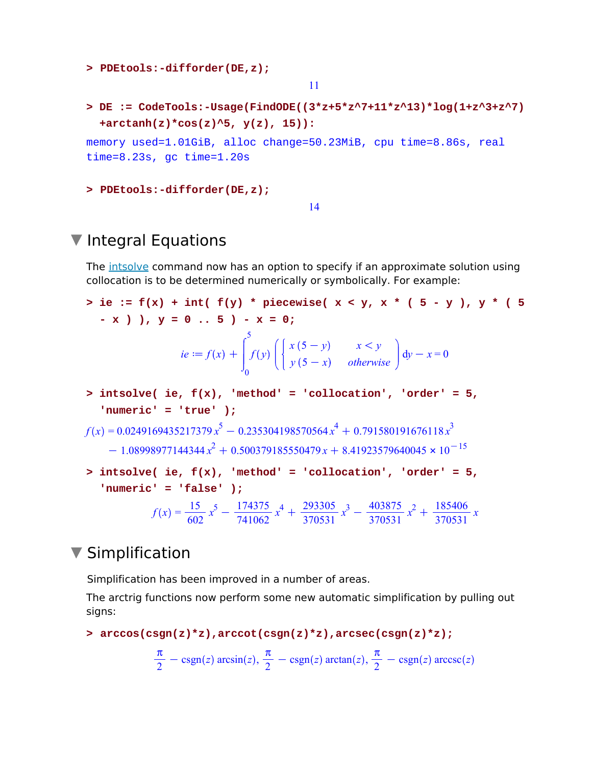```
> PDEtools:-difforder(DE,z);
                                  11
DE := CodeTools:-Usage(FindODE((3*z+5*z^7+11*z^13)*log(1+z^3+z^7)
> 
  +arctanh(z)*cos(z)^5, y(z), 15)):
memory used=1.01GiB, alloc change=50.23MiB, cpu time=8.86s, real 
time=8.23s, gc time=1.20s
> PDEtools:-difforder(DE,z);
```
#### 14

### $\nabla$  Integral Equations

The intsolve command now has an option to specify if an approximate solution using collocation is to be determined numerically or symbolically. For example:

```
> ie := f(x) + int(f(y) * piecewise(x < y, x * (5 - y), y * (5- x ) ), y = 0 .. 5 ) - x = 0;
                   ie \coloneqq f(x) +0
                                5
                                 f y
                                         x(5-y) x < yy(5-x) otherwise
                                                               dy - x = 0intsolve( ie, f(x), 'method' = 'collocation', 'order' = 5, 
> 
  'numeric' = 'true' );
f(x) = 0.0249169435217379 x^5 - 0.235304198570564 x^4 + 0.791580191676118 x^3-1.08998977144344 x<sup>2</sup> + 0.500379185550479 x + 8.41923579640045 \times 10^{-15}> intsolve( ie, f(x), 'method' = 'collocation', 'order' = 5,
  'numeric' = 'false' );
             f(x) = \frac{15}{602} x^5 - \frac{174375}{741062} x^4 + \frac{293305}{370531} x^3 - \frac{403875}{370531} x^2 + \frac{185406}{370531} x
```
#### ▼ Simplification

Simplification has been improved in a number of areas.

The arctrig functions now perform some new automatic simplification by pulling out signs:

```
> arccos(csgn(z)*z),arccot(csgn(z)*z),arcsec(csgn(z)*z);
```

$$
\frac{\pi}{2} - \text{csgn}(z) \arcsin(z), \frac{\pi}{2} - \text{csgn}(z) \arctan(z), \frac{\pi}{2} - \text{csgn}(z) \arccsc(z)
$$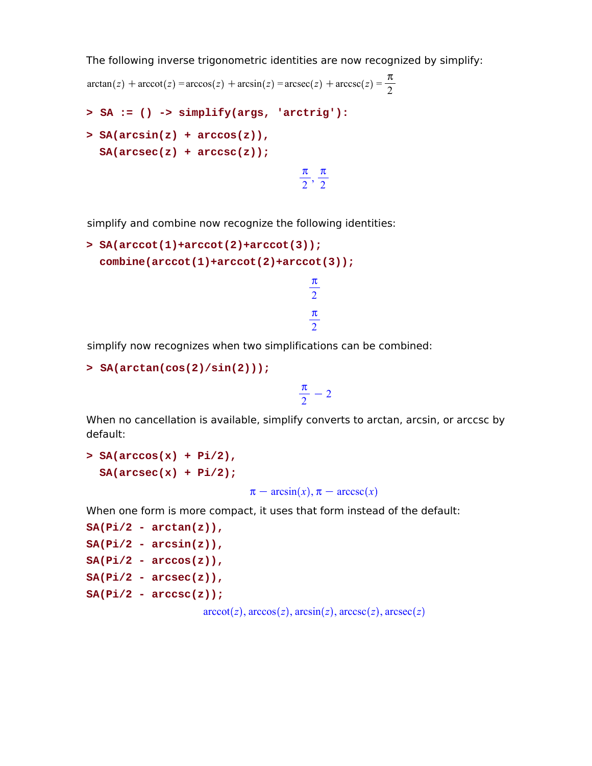The following inverse trigonometric identities are now recognized by simplify:

```
\arctan(z) + \arccot(z) = \arccos(z) + \arcsin(z) = \arccos(z) + \arccos(z) =\pi2
> SA := () -> simplify(args, 'arctrig'):
> SA(arcsin(z) + arccos(z)),SA(arcsec(z) + arccsc(z));
                                             \pi\frac{\pi}{2},
                                                \pi2
```
simplify and combine now recognize the following identities:

```
SA(arccot(1)+arccot(2)+arccot(3));
> 
  combine(arccot(1)+arccot(2)+arccot(3));
                                     \pi2
                                     \pi
```
simplify now recognizes when two simplifications can be combined:

```
> SA(arctan(cos(2)/sin(2)));
```

```
\pi\frac{n}{2} – 2
```
2

When no cancellation is available, simplify converts to arctan, arcsin, or arccsc by default:

```
> SA(arccos(x) + Pi/2),
 SA(arcsec(x) + Pi/2);
```
 $\pi$  –  $arcsin(x), \pi$  –  $arccsc(x)$ 

When one form is more compact, it uses that form instead of the default:

```
SA(Pi/2 - arctan(z)),
SA(Pi/2 - arcsin(z)),SA(Pi/2 - arccos(z)),SA(Pi/2 - arcsec(z)),
SA(Pi/2 - arccsc(z));
                    arccot(z), arccos(z), arcsin(z), arccsc(z), arcsec(z)
```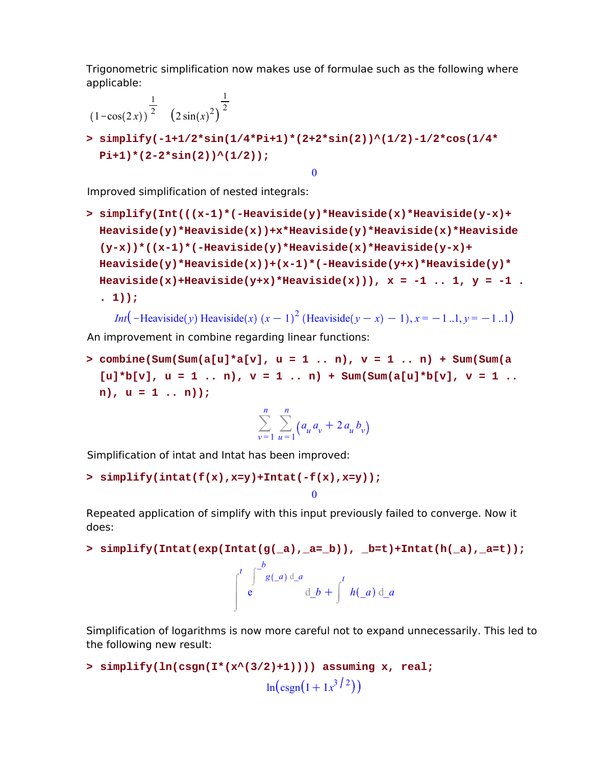Trigonometric simplification now makes use of formulae such as the following where applicable:

$$
\frac{1}{(1-\cos(2x))^{\frac{1}{2}}}(2\sin(x)^{2})^{\frac{1}{2}}
$$
\n> simplify  $(-1+1/2*\sin(1/4*\sin(1/4*\sin(2))\cdot(1/2)-1/2*\cos(1/4*\sin(2))\cdot(1/2))$ ;\n  
\n $0$ 

Improved simplification of nested integrals:

**simplify(Int(((x-1)\*(-Heaviside(y)\*Heaviside(x)\*Heaviside(y-x)+ > Heaviside(y)\*Heaviside(x))+x\*Heaviside(y)\*Heaviside(x)\*Heaviside (y-x))\*((x-1)\*(-Heaviside(y)\*Heaviside(x)\*Heaviside(y-x)+ Heaviside(y)\*Heaviside(x))+(x-1)\*(-Heaviside(y+x)\*Heaviside(y)\*** Heaviside(x)+Heaviside(y+x)\*Heaviside(x))),  $x = -1$  .. 1,  $y = -1$  . **. 1));**

*Int* (-Heaviside *y*) Heaviside *x*)  $(x - 1)^2$  (Heaviside  $(y - x) - 1$ ),  $x = -1$  ..1,  $y = -1$  ..1 An improvement in combine regarding linear functions:

**combine(Sum(Sum(a[u]\*a[v], u = 1 .. n), v = 1 .. n) + Sum(Sum(a >**   $[u] * b[v], u = 1 ... n, v = 1 ... n + Sum(Sum(a[u] * b[v], v = 1 ...$ **n), u = 1 .. n));**

$$
\sum_{v=1}^{n} \sum_{u=1}^{n} \left( a_u a_v + 2 a_u b_v \right)
$$

0

Simplification of intat and Intat has been improved:

```
> simplify(intat(f(x),x=y)+Intat(-f(x),x=y));
```
Repeated application of simplify with this input previously failed to converge. Now it does:

```
> simplify(Intat(exp(Intat(g(_a),_a=_b)), _b=t)+Intat(h(_a),_a=t));
```

$$
\int_{0}^{t} \int_{0}^{-b} g(a) d_a a \, d_b + \int_{0}^{t} h(a) d_a
$$

Simplification of logarithms is now more careful not to expand unnecessarily. This led to the following new result:

```
> simplify(ln(csgn(I*(x^(3/2)+1)))) assuming x, real;
                                 \ln(\text{csgn}(I+Ix^3)^2)
```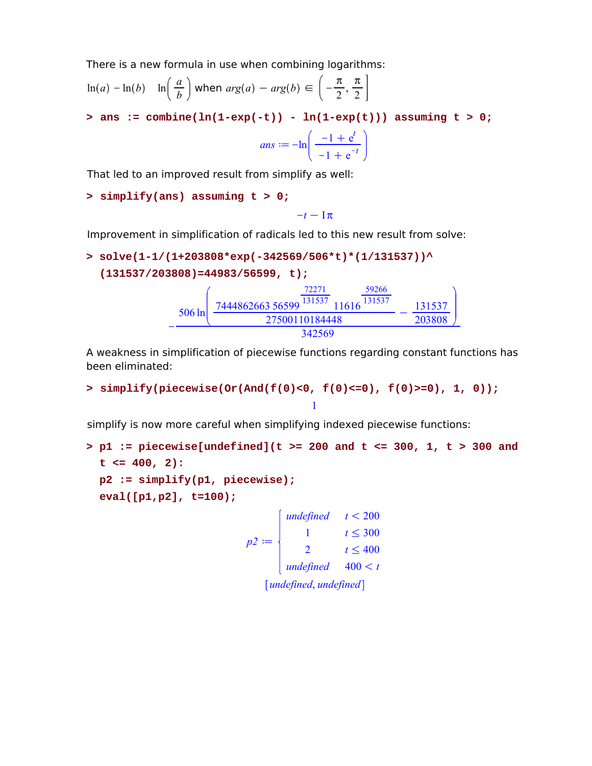There is a new formula in use when combining logarithms:

$$
\ln(a) - \ln(b) \quad \ln\left(\frac{a}{b}\right) \text{ when } \arg(a) - \arg(b) \in \left(-\frac{\pi}{2}, \frac{\pi}{2}\right]
$$

 $>$  ans := combine(ln(1-exp(-t)) - ln(1-exp(t))) assuming t  $> 0;$ 

$$
ans := -\ln\left(\frac{-1 + e^t}{-1 + e^{-t}}\right)
$$

That led to an improved result from simplify as well:

```
> simplify(ans) assuming t > 0;
```
 $-t-\mathbb{I}\pi$ 

Improvement in simplification of radicals led to this new result from solve:

> solve(1-1/(1+203808\*exp(-342569/506\*t)\*(1/131537))  
(131537/203808)=44983/56599, t);  

$$
-\frac{506 \ln \left(\frac{7444862663 \, 56599}{27500110184448} - \frac{131537}{203808}\right)}{342569}
$$

A weakness in simplification of piecewise functions regarding constant functions has been eliminated:

```
> simplify(piecewise(Or(And(f(0)<0, f(0)<=0), f(0)>=0), 1, 0));
                                   1
```
simplify is now more careful when simplifying indexed piecewise functions:

```
p1 := piecewise[undefined](t >= 200 and t <= 300, 1, t > 300 and 
> 
 t <= 400, 2):
 p2 := simplify(p1, piecewise);
 eval([p1,p2], t=100);
                              \intundefined t < 200
```

$$
p2 := \begin{cases} 1 & t \leq 300 \\ 2 & t \leq 400 \\ \text{undefined} & 400 < t \\ \text{undefined, undefined} \end{cases}
$$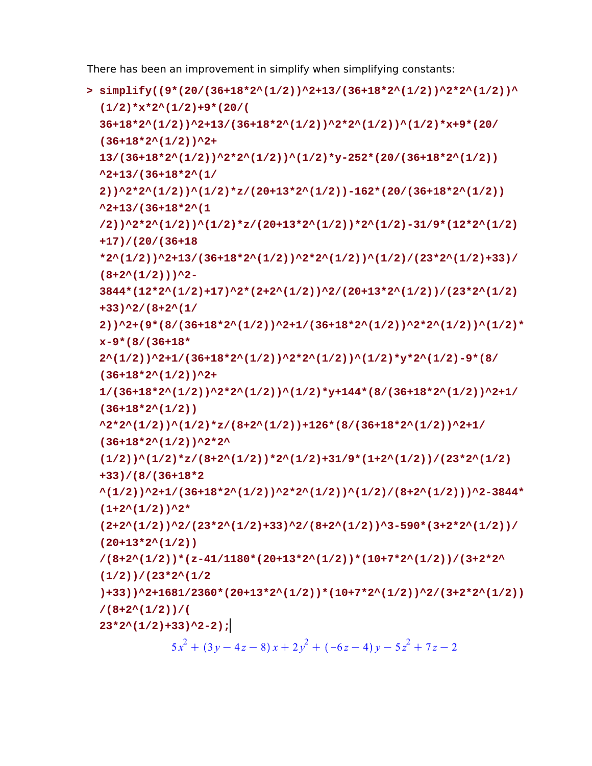There has been an improvement in simplify when simplifying constants:

```
simplify((9*(20/(36+18*2^(1/2))^2+13/(36+18*2^(1/2))^2*2^(1/2))^
> 
 (1/2)*x*2^(1/2)+9*(20/(
 36+18*2^(1/2))^2+13/(36+18*2^(1/2))^2*2^(1/2))^(1/2)*x+9*(20/
 (36+18*2^(1/2))^2+
 13/(36+18*2^(1/2))^2*2^(1/2))^(1/2)*y-252*(20/(36+18*2^(1/2))
 ^2+13/(36+18*2^(1/
 2))^2*2^(1/2))^(1/2)*z/(20+13*2^(1/2))-162*(20/(36+18*2^(1/2))
 ^2+13/(36+18*2^(1
 /2))^2*2^(1/2))^(1/2)*z/(20+13*2^(1/2))*2^(1/2)-31/9*(12*2^(1/2)
 +17)/(20/(36+18
 *2^(1/2))^2+13/(36+18*2^(1/2))^2*2^(1/2))^(1/2)/(23*2^(1/2)+33)/
 (8+2^(1/2)))^2-
 3844*(12*2^(1/2)+17)^2*(2+2^(1/2))^2/(20+13*2^(1/2))/(23*2^(1/2)
 +33)^2/(8+2^(1/
 2))^2+(9*(8/(36+18*2^(1/2))^2+1/(36+18*2^(1/2))^2*2^(1/2))^(1/2)*
 x-9*(8/(36+18*
 2^(1/2))^2+1/(36+18*2^(1/2))^2*2^(1/2))^(1/2)*y*2^(1/2)-9*(8/
 (36+18*2^(1/2))^2+
 1/(36+18*2^(1/2))^2*2^(1/2))^(1/2)*y+144*(8/(36+18*2^(1/2))^2+1/
 (36+18*2^(1/2))
 ^2*2^(1/2))^(1/2)*z/(8+2^(1/2))+126*(8/(36+18*2^(1/2))^2+1/
 (36+18*2^(1/2))^2*2^
  (1/2))<sup>^</sup>(1/2)*z/(8+2^(1/2))*2^(1/2)+31/9*(1+2^(1/2))/(23*2^(1/2))+33)/(8/(36+18*2
 ^(1/2))^2+1/(36+18*2^(1/2))^2*2^(1/2))^(1/2)/(8+2^(1/2)))^2-3844*
 (1+2^(1/2))^2*
 (2+2^(1/2))^2/(23*2^(1/2)+33)^2/(8+2^(1/2))^3-590*(3+2*2^(1/2))/
 (20+13*2^(1/2))
 /(8+2^(1/2))*(z-41/1180*(20+13*2^(1/2))*(10+7*2^(1/2))/(3+2*2^
 (1/2))/(23*2^(1/2
 )+33))^2+1681/2360*(20+13*2^(1/2))*(10+7*2^(1/2))^2/(3+2*2^(1/2))
 /(8+2^(1/2))/(
 23*2^(1/2)+33)^2-2);
             5x^{2} + (3y - 4z - 8)x + 2y^{2} + (-6z - 4)y - 5z^{2} + 7z - 2
```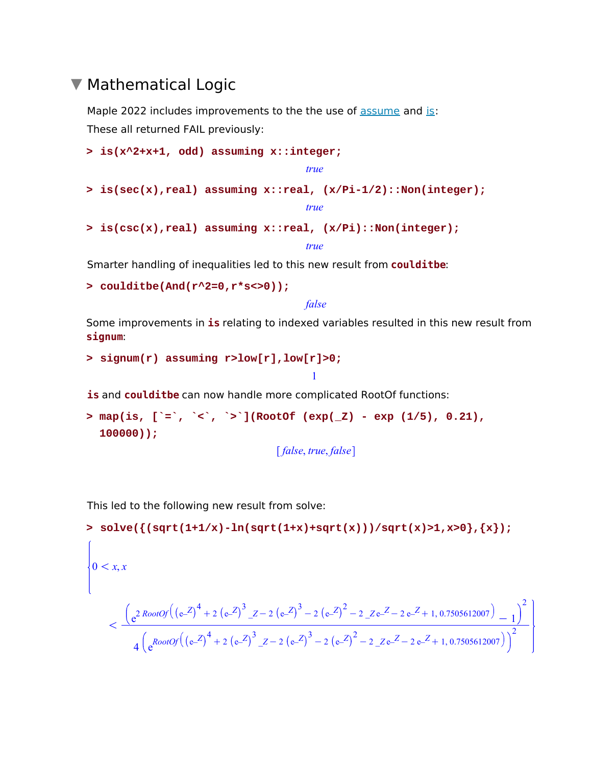#### ▼ Mathematical Logic

Maple 2022 includes improvements to the the use of assume and is: These all returned FAIL previously:

```
> is(x^2+x+1, odd) assuming x::integer;
```
*true*

**> is(sec(x),real) assuming x::real, (x/Pi-1/2)::Non(integer);**

*true*

**> is(csc(x),real) assuming x::real, (x/Pi)::Non(integer);** *true*

Smarter handling of inequalities led to this new result from **coulditbe**:

```
> coulditbe(And(r^2=0,r*s<>0));
```
*false*

Some improvements in **is** relating to indexed variables resulted in this new result from **signum**:

1

```
> signum(r) assuming r>low[r],low[r]>0;
```
**is** and **coulditbe** can now handle more complicated RootOf functions:

**map(is, [`=`, `<`, `>`](RootOf (exp(\_Z) - exp (1/5), 0.21), > 100000));**

*false*, *true*, *false*

This led to the following new result from solve:

> solve({
$$
(sqrt(1+1/x) - ln(sqrt(1+x) + sqrt(x)))
$$
/sqrt(x)>1,x>0}, {x};  
\n
$$
\begin{cases}\n0 < x, x \\
0 < x.\n\end{cases}
$$
\n
$$
\begin{cases}\n\frac{2R\text{ootOf}((e^{-Z})^4 + 2(e^{-Z})^3 - 2(e^{-Z})^3 - 2(e^{-Z})^2 - 2(Ze^{-Z} - 2e^{-Z} + 1, 0.7505612007))}{4(e^{R\text{ootOf}((e^{-Z})^4 + 2(e^{-Z})^3 - 2(e^{-Z})^3 - 2(e^{-Z})^2 - 2(Ze^{-Z} - 2e^{-Z} + 1, 0.7505612007))}\n\end{cases}
$$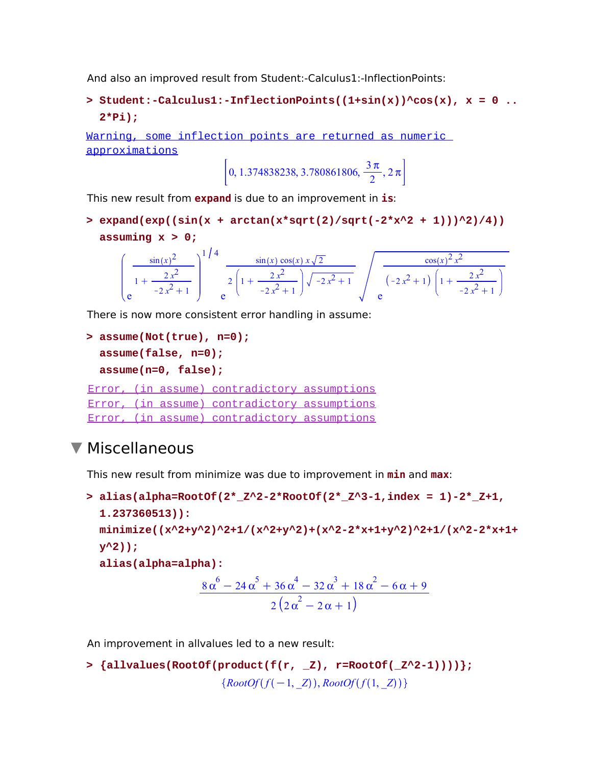And also an improved result from Student:-Calculus1:-InflectionPoints:

**Student:-Calculus1:-InflectionPoints((1+sin(x))^cos(x), x = 0 .. > 2\*Pi);**

Warning, some inflection points are returned as numeric approximations

$$
\left[0, 1.374838238, 3.780861806, \frac{3\pi}{2}, 2\pi\right]
$$

This new result from **expand** is due to an improvement in **is**:

**expand(exp((sin(x + arctan(x\*sqrt(2)/sqrt(-2\*x^2 + 1)))^2)/4)) > assuming x > 0;**

$$
\left(\frac{\sin(x)^2}{1+\frac{2x^2}{-2x^2+1}}\right)^{1/4} \frac{\sin(x)\cos(x) x \sqrt{2}}{2\left(1+\frac{2x^2}{-2x^2+1}\right) \sqrt{-2x^2+1}} \sqrt{\frac{\cos(x)^2 x^2}{(-2x^2+1)\left(1+\frac{2x^2}{-2x^2+1}\right)}}
$$

There is now more consistent error handling in assume:

```
assume(Not(true), n=0);
> 
 assume(false, n=0);
 assume(n=0, false);
Error, (in assume) contradictory assumptions
Error, (in assume) contradictory assumptions
Error, (in assume) contradictory assumptions
```
#### Miscellaneous

This new result from minimize was due to improvement in **min** and **max**:

```
alias(alpha=RootOf(2*_Z^2-2*RootOf(2*_Z^3-1,index = 1)-2*_Z+1,
> 
  1.237360513)):
  minimize((x^2+y^2)^2+1/(x^2+y^2)+(x^2-2*x+1+y^2)^2+1/(x^2-2*x+1+
  y^2));
  alias(alpha=alpha):
                      8\alpha^6 - 24\alpha^5 + 36\alpha^4 - 32\alpha^3 + 18\alpha^2 - 6\alpha + 92(2\alpha^2-2\alpha+1)
```
An improvement in allvalues led to a new result:

```
> {allvalues(RootOf(product(f(r, _Z), r=RootOf(_Z^2-1))))};
                      {RootOf(f(-1, Z)), RootOf(f(1, Z))}
```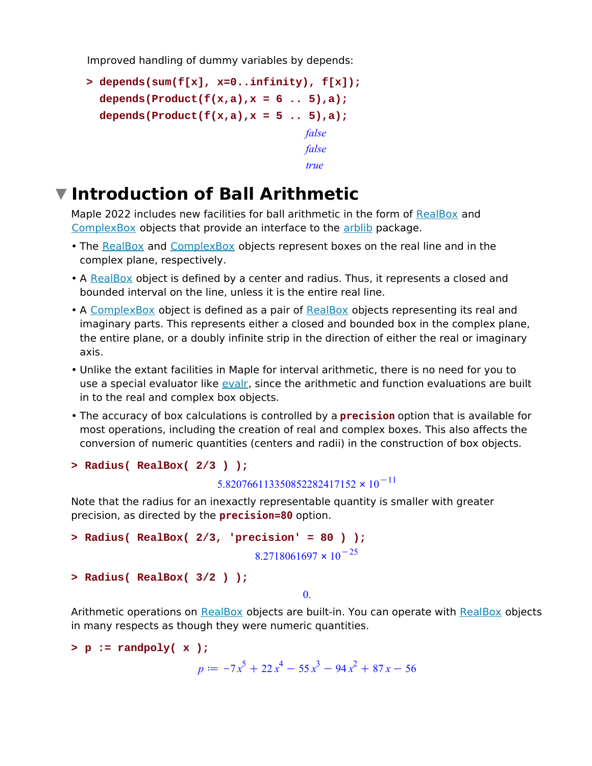Improved handling of dummy variables by depends:

```
depends(sum(f[x], x=0..infinity), f[x]);
> 
  depends(Product(f(x,a),x = 6 .. 5),a);
 depends(Product(f(x,a),x = 5 .. 5),a);
                                   false
                                   false
                                   true
```
### **Introduction of Ball Arithmetic**

Maple 2022 includes new facilities for ball arithmetic in the form of RealBox and ComplexBox objects that provide an interface to the arblib package.

- The <u>RealBox</u> and ComplexBox objects represent boxes on the real line and in the complex plane, respectively.
- A RealBox object is defined by a center and radius. Thus, it represents a closed and bounded interval on the line, unless it is the entire real line.
- A ComplexBox object is defined as a pair of RealBox objects representing its real and imaginary parts. This represents either a closed and bounded box in the complex plane, the entire plane, or a doubly infinite strip in the direction of either the real or imaginary axis.
- Unlike the extant facilities in Maple for interval arithmetic, there is no need for you to use a special evaluator like evalr, since the arithmetic and function evaluations are built in to the real and complex box objects.
- The accuracy of box calculations is controlled by a **precision** option that is available for most operations, including the creation of real and complex boxes. This also affects the conversion of numeric quantities (centers and radii) in the construction of box objects.

```
> Radius( RealBox( 2/3 ) );
```

```
5.820766113350852282417152 \times 10^{-11}
```
Note that the radius for an inexactly representable quantity is smaller with greater precision, as directed by the **precision=80** option.

```
> Radius( RealBox( 2/3, 'precision' = 80 ) );
                                8.2718061697 \times 10^{-25}> Radius( RealBox( 3/2 ) );
```
0.

Arithmetic operations on RealBox objects are built-in. You can operate with RealBox objects in many respects as though they were numeric quantities.

```
> p := randpoly( x );
```

```
p := -7x^5 + 22x^4 - 55x^3 - 94x^2 + 87x - 56
```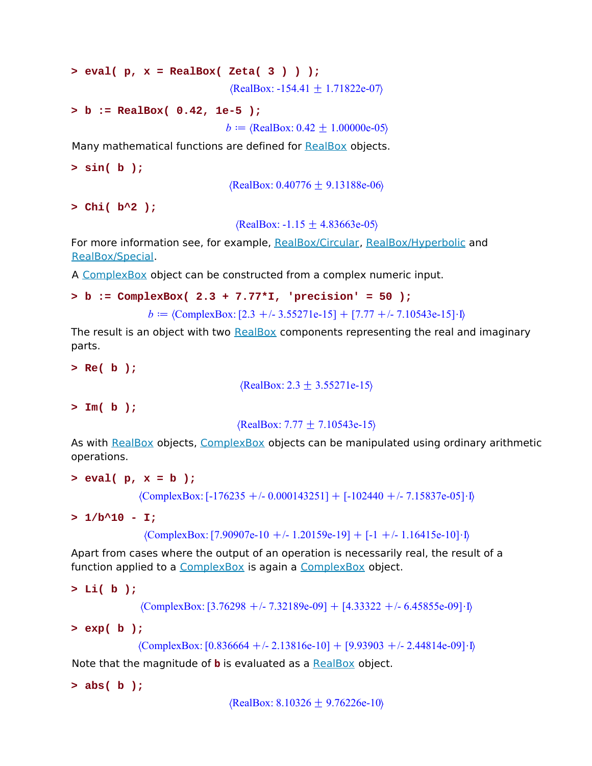```
> eval( p, x = RealBox( Zeta( 3 ) ) );
                                 \langle RealBox: -154.41 \pm 1.71822e-07 \rangle
```

```
> b := RealBox( 0.42, 1e-5 );
```
*b* =  $\langle RealBox: 0.42 \pm 1.00000e-05 \rangle$ 

Many mathematical functions are defined for RealBox objects.

**> sin( b );**

 $\langle RealBox: 0.40776 \pm 9.13188e-06 \rangle$ 

**> Chi( b^2 );**

 $\langle RealBox: -1.15 \pm 4.83663e-05 \rangle$ 

For more information see, for example, RealBox/Circular, RealBox/Hyperbolic and RealBox/Special.

A ComplexBox object can be constructed from a complex numeric input.

```
> b := ComplexBox( 2.3 + 7.77*I, 'precision' = 50 );
```
*b*  $=$   $\langle$ ComplexBox: [2.3 +/- 3.55271e-15] + [7.77 +/- 7.10543e-15] \ D

The result is an object with two RealBox components representing the real and imaginary parts.

**> Re( b );**

 $\langle RealBox: 2.3 \pm 3.55271e-15 \rangle$ 

**> Im( b );**

 $\{RealBox: 7.77 \pm 7.10543e-15\}$ 

As with RealBox objects, ComplexBox objects can be manipulated using ordinary arithmetic operations.

```
> eval( p, x = b );
```
 $\langle \text{ComplexBox:} [-176235 + (-0.000143251] + [-102440 + (-7.15837e-05] \cdot ] \rangle$ 

**> 1/b^10 - I;**

 $\langle \text{ComplexBox:} [7.90907e-10 +/- 1.20159e-19] + [-1 +/- 1.16415e-10] \cdot I \rangle$ 

Apart from cases where the output of an operation is necessarily real, the result of a function applied to a ComplexBox is again a ComplexBox object.

```
> Li( b );
```
 $\langle \text{ComplexBox:} [3.76298 + \textit{-.} 7.32189e-09] + [4.33322 + \textit{-.} 6.45855e-09] \cdot I \rangle$ 

**> exp( b );**

 $\langle \text{ComplexBox:} [0.836664 + \textit{6}-2.13816e-10] + [9.93903 + \textit{6}-2.44814e-09] \cdot I \rangle$ 

Note that the magnitude of **b** is evaluated as a RealBox object.

**> abs( b );**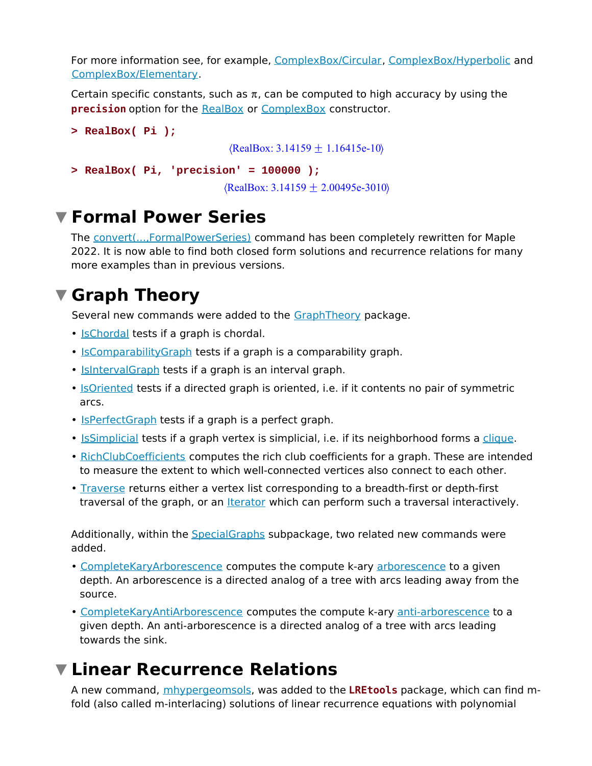For more information see, for example, ComplexBox/Circular, ComplexBox/Hyperbolic and ComplexBox/Elementary.

Certain specific constants, such as  $\pi$ , can be computed to high accuracy by using the **precision** option for the RealBox or ComplexBox constructor.

```
> RealBox( Pi );
                                  \langle RealBox: 3.14159 \pm 1.16415e-10 \rangle> RealBox( Pi, 'precision' = 100000 );
                                 \langle RealBox: 3.14159 + 2.00495e-3010 \rangle
```
### **Formal Power Series**

The convert(...,FormalPowerSeries) command has been completely rewritten for Maple 2022. It is now able to find both closed form solutions and recurrence relations for many more examples than in previous versions.

### **Graph Theory**

Several new commands were added to the GraphTheory package.

- **IsChordal** tests if a graph is chordal.
- IsComparabilityGraph tests if a graph is a comparability graph.
- **Isinterval Graph tests if a graph is an interval graph.**
- <u>IsOriented</u> tests if a directed graph is oriented, i.e. if it contents no pair of symmetric arcs.
- IsPerfectGraph tests if a graph is a perfect graph.
- IsSimplicial tests if a graph vertex is simplicial, i.e. if its neighborhood forms a clique.
- RichClubCoefficients computes the rich club coefficients for a graph. These are intended to measure the extent to which well-connected vertices also connect to each other.
- Traverse returns either a vertex list corresponding to a breadth-first or depth-first traversal of the graph, or an **Iterator** which can perform such a traversal interactively.

Additionally, within the SpecialGraphs subpackage, two related new commands were added.

- CompleteKaryArborescence computes the compute k-ary arborescence to a given depth. An arborescence is a directed analog of a tree with arcs leading away from the source.
- CompleteKaryAntiArborescence computes the compute k-ary anti-arborescence to a given depth. An anti-arborescence is a directed analog of a tree with arcs leading towards the sink.

## **Linear Recurrence Relations**

A new command, mhypergeomsols, was added to the **LREtools** package, which can find mfold (also called m-interlacing) solutions of linear recurrence equations with polynomial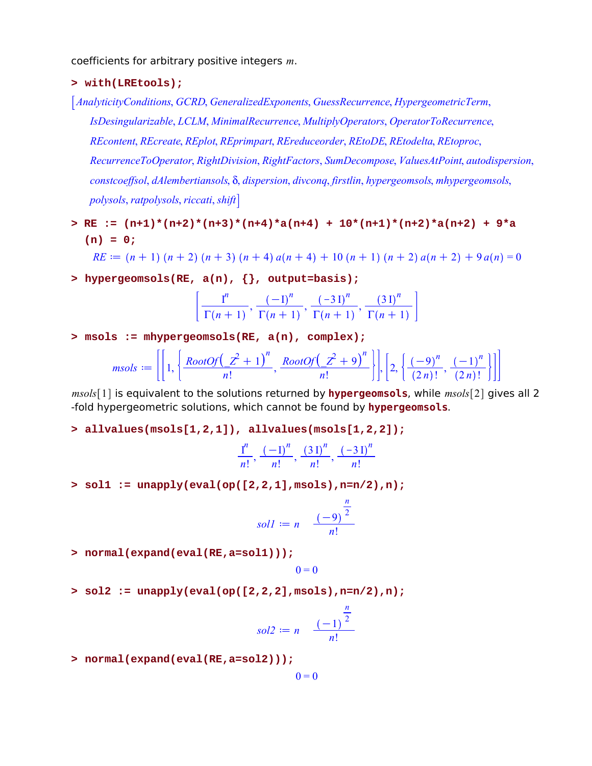coefficients for arbitrary positive integers *m*.

- **> with(LREtools);**
- *AnalyticityConditions*, *GCRD*, *GeneralizedExponents*, *GuessRecurrence*, *HypergeometricTerm*, *IsDesingularizable*, *LCLM*, *MinimalRecurrence*, *MultiplyOperators*, *OperatorToRecurrence*, *REcontent*, *REcreate*, *REplot*, *REprimpart*, *REreduceorder*, *REtoDE*, *REtodelta*, *REtoproc*, *RecurrenceToOperator*, *RightDivision*, *RightFactors*, *SumDecompose*, *ValuesAtPoint*, *autodispersion*, *constcoeffsol*, *dAlembertiansols*, d, *dispersion*, *divconq*, *firstlin*, *hypergeomsols*, *mhypergeomsols*, *polysols*, *ratpolysols*, *riccati*, *shift*
- **RE := (n+1)\*(n+2)\*(n+3)\*(n+4)\*a(n+4) + 10\*(n+1)\*(n+2)\*a(n+2) + 9\*a > (n) = 0;**

 $RE := (n + 1) (n + 2) (n + 3) (n + 4) a(n + 4) + 10 (n + 1) (n + 2) a(n + 2) + 9 a(n) = 0$ 

**> hypergeomsols(RE, a(n), {}, output=basis);**

$$
\left[\frac{\mathrm{I}^{n}}{\Gamma(n+1)}, \frac{\left(-\mathrm{I}\right)^{n}}{\Gamma(n+1)}, \frac{\left(-3\,\mathrm{I}\right)^{n}}{\Gamma(n+1)}, \frac{\left(3\,\mathrm{I}\right)^{n}}{\Gamma(n+1)}\right]
$$

**> msols := mhypergeomsols(RE, a(n), complex);**

$$
msols := \left[\left[1, \left\{\frac{RootOf\left(\underline{Z}^2+1\right)^n}{n!}, \frac{RootOf\left(\underline{Z}^2+9\right)^n}{n!}\right\}\right], \left[2, \left\{\frac{\left(-9\right)^n}{\left(2n\right)!}, \frac{\left(-1\right)^n}{\left(2n\right)!}\right\}\right]\right]
$$

*msols*<sup>[1]</sup> is equivalent to the solutions returned by **hypergeomsols**, while *msols*<sup>[2]</sup> gives all 2 -fold hypergeometric solutions, which cannot be found by **hypergeomsols**.

**> allvalues(msols[1,2,1]), allvalues(msols[1,2,2]);**

$$
\frac{I^n}{n!}, \frac{(-I)^n}{n!}, \frac{(3 I)^n}{n!}, \frac{(-3 I)^n}{n!}
$$

**> sol1 := unapply(eval(op([2,2,1],msols),n=n/2),n);**

$$
soll := n \quad \frac{(-9)^{\frac{n}{2}}}{n!}
$$

**> normal(expand(eval(RE,a=sol1)));**

$$
0=0
$$

**> sol2 := unapply(eval(op([2,2,2],msols),n=n/2),n);**

$$
sol2 := n \quad \frac{(-1)^{\frac{n}{2}}}{n!}
$$

**> normal(expand(eval(RE,a=sol2)));**

$$
0=0
$$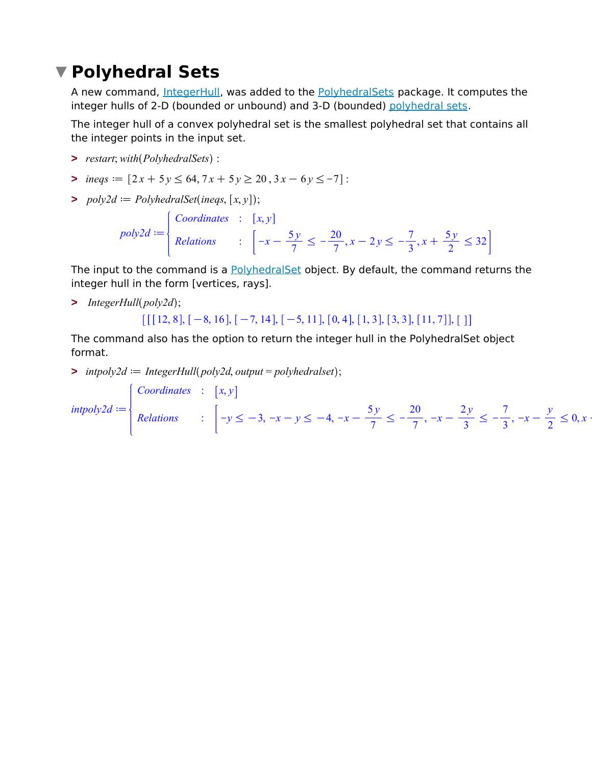## **Polyhedral Sets**

A new command, IntegerHull, was added to the PolyhedralSets package. It computes the integer hulls of 2-D (bounded or unbound) and 3-D (bounded) polyhedral sets.

The integer hull of a convex polyhedral set is the smallest polyhedral set that contains all the integer points in the input set.

- **>** *restart*; *with PolyhedralSets* :
- $\Rightarrow$  *ineqs* =  $[2x + 5y \le 64, 7x + 5y \ge 20, 3x 6y \le -7]$ :
- $\Rightarrow$  *poly2d*  $:=$  *PolyhedralSet*(*ineqs*,  $[x, y]$ );

$$
poly2d := \begin{cases} \text{Coordinates} & : \quad [x, y] \\ \text{ Relations} & : \quad \left[ -x - \frac{5y}{7} \le -\frac{20}{7}, x - 2y \le -\frac{7}{3}, x + \frac{5y}{2} \le 32 \right] \end{cases}
$$

The input to the command is a PolyhedralSet object. By default, the command returns the integer hull in the form [vertices, rays].

**>** *IntegerHull poly2d* ;

```
\left[ \left[ \left[ \left[ 12, 8 \right], \left[ -8, 16 \right], \left[ -7, 14 \right], \left[ -5, 11 \right], \left[ 0, 4 \right], \left[ 1, 3 \right], \left[ 3, 3 \right], \left[ 11, 7 \right] \right], \left[ 1 \right] \right]
```
The command also has the option to return the integer hull in the PolyhedralSet object format.

 $\Rightarrow$  *intpoly2d*  $\coloneq$  *IntegerHull (poly2d, output* = *polyhedralset*);

 $intpoly2d := \{$ *Coordinates* :  $\left[x, y\right]$ *Relations* :  $-y \le -3, -x - y \le -4, -x - y$ 5 *y*  $\frac{3}{7} \leq -$ 20  $\frac{1}{7}$ ,  $-x -$ 2 *y*  $\frac{3}{3} \leq -\frac{3}{3}$ 7  $\frac{1}{3}$ ,  $-x - 1$ *y*  $\frac{x}{2} \leq 0, x >$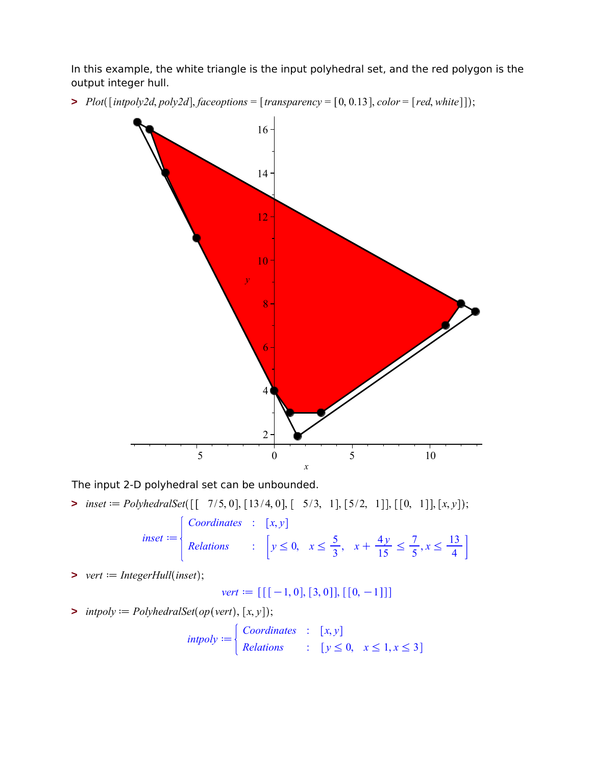In this example, the white triangle is the input polyhedral set, and the red polygon is the output integer hull.

 $\triangleright$  *Plot*([intpoly2d, poly2d], faceoptions = [transparency = [0, 0.13], color = [red, white]]);



The input 2-D polyhedral set can be unbounded.

 $\Rightarrow$  *inset*  $:=$  *PolyhedralSet*([[ 7/5, 0], [13/4, 0], [ 5/3, 1], [5/2, 1]], [[0, 1]], [x, y]);

$$
insert := \begin{cases} \text{Coordinates} & : [x, y] \\ \text{Relations} & : [y \le 0, \ x \le \frac{5}{3}, \ x + \frac{4y}{15} \le \frac{7}{5}, x \le \frac{13}{4} \end{cases}
$$

 $\triangleright$  *vert*  $:=$  *IntegerHull*(*inset*);

 $vert := [[[-1, 0], [3, 0]], [[0, -1]]]$ 

 $\Rightarrow$  *intpoly*  $:=$  *PolyhedralSet*(*op*(*vert*), [*x, y*]);

$$
intpoly := \begin{cases} \text{Coordinates} & : \quad [x, y] \\ \text{ Relations} & : \quad [y \le 0, \quad x \le 1, x \le 3] \end{cases}
$$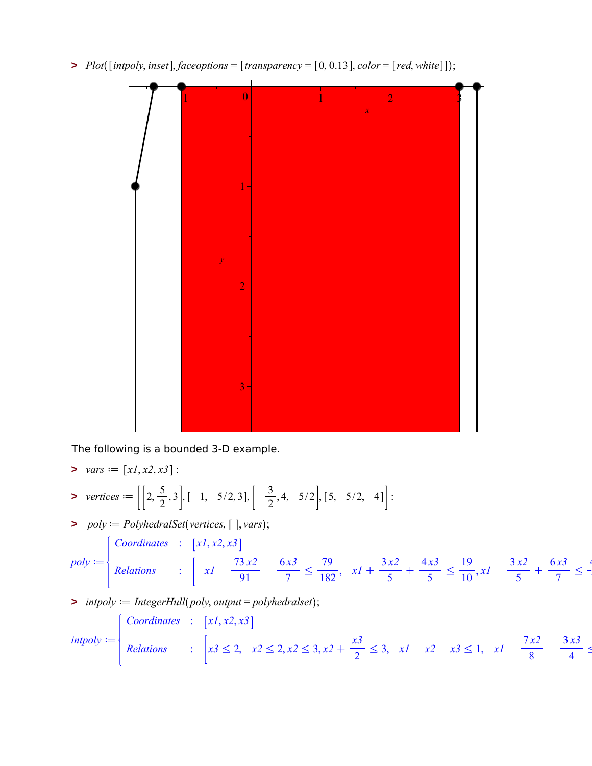$\triangleright$  *Plot*([intpoly, inset], *faceoptions* = [transparency = [0, 0.13], *color* = [red, white]]);



The following is a bounded 3-D example.

> 
$$
\text{vars} := [x1, x2, x3]:
$$
  
\n> vertices :=  $\left[ \left[ 2, \frac{5}{2}, 3 \right], \left[ 1, 5/2, 3 \right], \left[ \frac{3}{2}, 4, 5/2 \right], \left[ 5, 5/2, 4 \right] \right]:$ 

 $\Rightarrow$   $poly := PolyhedralSet(vertices, [], vars);$ 

$$
poly := \begin{cases} \text{Coordinates} & : \begin{bmatrix} x1, x2, x3 \\ \text{Relations} \end{bmatrix} \\ & : \begin{bmatrix} x1 & \frac{73 \, x2}{91} & \frac{6 \, x3}{7} \le \frac{79}{182}, \ x1 + \frac{3 \, x2}{5} + \frac{4 \, x3}{5} \le \frac{19}{10}, x1 \end{bmatrix} \xrightarrow[5]{3 \, x2 \, + \frac{6 \, x3}{7} \le \frac{4 \, x3}{10}} \begin{bmatrix} \frac{3 \, x2}{5} & \frac{6 \, x3}{5} \le \frac{4 \, x3}{10} \end{bmatrix} \xrightarrow[5]{3 \, x2 \, + \frac{6 \, x3}{7} \le \frac{4 \, x3}{10}} \begin{bmatrix} \frac{3 \, x2}{5} & \frac{6 \, x3}{5} \le \frac{4 \, x3}{10} \end{bmatrix} \xrightarrow[5]{3 \, + \frac{6 \, x3}{7} \le \frac{4 \, x3}{10}} \begin{bmatrix} \frac{3 \, x2}{5} & \frac{6 \, x3}{5} \le \frac{4 \, x3}{10} \end{bmatrix} \xrightarrow[5]{3 \, + \frac{6 \, x3}{7} \le \frac{4 \, x3}{10}} \begin{bmatrix} \frac{3 \, x2}{5} & \frac{6 \, x3}{5} \le \frac{4 \, x3}{10} \end{bmatrix} \xrightarrow[5]{3 \, + \frac{6 \, x3}{7} \le \frac{4 \, x3}{10}} \begin{bmatrix} \frac{3 \, x2}{5} & \frac{6 \, x3}{5} \le \frac{4 \, x3}{10} \end{bmatrix} \xrightarrow[5]{3 \, + \frac{6 \, x3}{10} \le \frac{4 \, x3}{10} \le \frac{4 \, x3}{10} \le \frac{4 \, x3}{10} \le \frac{4 \, x3}{10} \le \frac{4 \, x3}{10} \le \frac{4 \, x3}{10} \le \frac{4 \, x3}{10} \le \frac{4 \, x3}{10} \le \frac{4 \, x3}{10} \le \frac{4 \, x3}{10} \le \frac{4 \, x3}{10} \le
$$

 $\triangleright$  *intpoly*  $:=$  *IntegerHull*(*poly, output* = *polyhedralset*);

$$
intpoly := \begin{cases} \text{Coordinates} & \text{[x1, x2, x3]} \\ \text{Relationship} & \text{[x3 \le 2, x2 \le 2, x2 \le 3, x2 + \frac{x3}{2} \le 3, x1 \quad x2 \quad x3 \le 1, x1 \quad \frac{7x2}{8} \quad \frac{3x3}{4} \le 1 \end{cases}
$$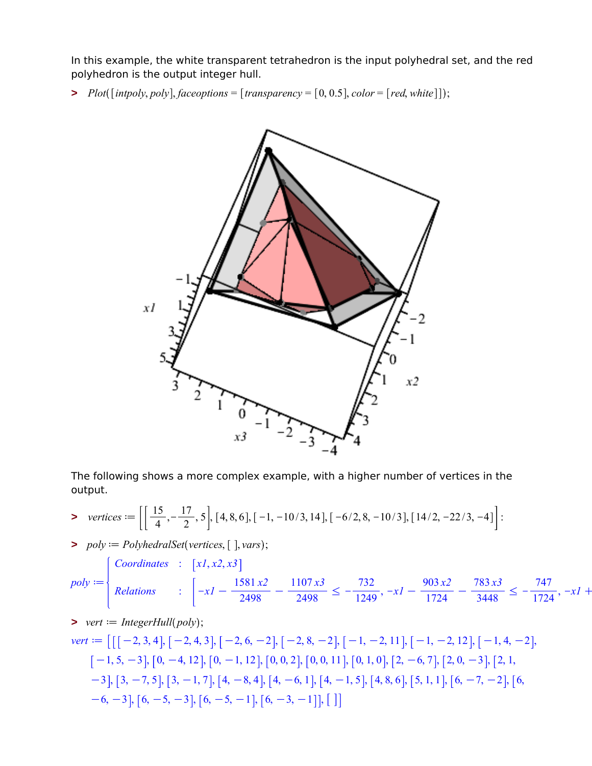In this example, the white transparent tetrahedron is the input polyhedral set, and the red polyhedron is the output integer hull.

 $\triangleright$  *Plot*([*intpoly, poly*]*, faceoptions* = [*transparency* = [0, 0.5]*, color* = [*red, white*]]);



The following shows a more complex example, with a higher number of vertices in the output.

> vertices := 
$$
\left[ \left[ \frac{15}{4}, -\frac{17}{2}, 5 \right], [4, 8, 6], [-1, -10/3, 14], [-6/2, 8, -10/3], [14/2, -22/3, -4] \right]
$$
:

 $\Rightarrow$   $poly := PolyhedralSet(vertices, [], vars);$ 

$$
poly := \begin{cases} \text{Coordinates} & \text{[x1, x2, x3]} \\ \text{ Relations} & \text{[--x1 -- } \frac{1581 \, x2}{2498} - \frac{1107 \, x3}{2498} \le -\frac{732}{1249}, \ -x1 - \frac{903 \, x2}{1724} - \frac{783 \, x3}{3448} \le -\frac{747}{1724}, \ -x1 + \frac{1581 \, x2}{2498} \le -\frac{732}{1724} \end{cases}
$$

> *vert* := *IntegerHull*(*poly*);  
\n*vert* := 
$$
\left[ \left[ [-2, 3, 4], [-2, 4, 3], [-2, 6, -2], [-2, 8, -2], [-1, -2, 11], [-1, -2, 12], [-1, 4, -2], [-1, 5, -3], [0, -4, 12], [0, -1, 12], [0, 0, 2], [0, 0, 11], [0, 1, 0], [2, -6, 7], [2, 0, -3], [2, 1, -3], [3, -7, 5], [3, -1, 7], [4, -8, 4], [4, -6, 1], [4, -1, 5], [4, 8, 6], [5, 1, 1], [6, -7, -2], [6, -6, -3], [6, -5, -3], [6, -5, -1], [6, -3, -1]], [] \right]
$$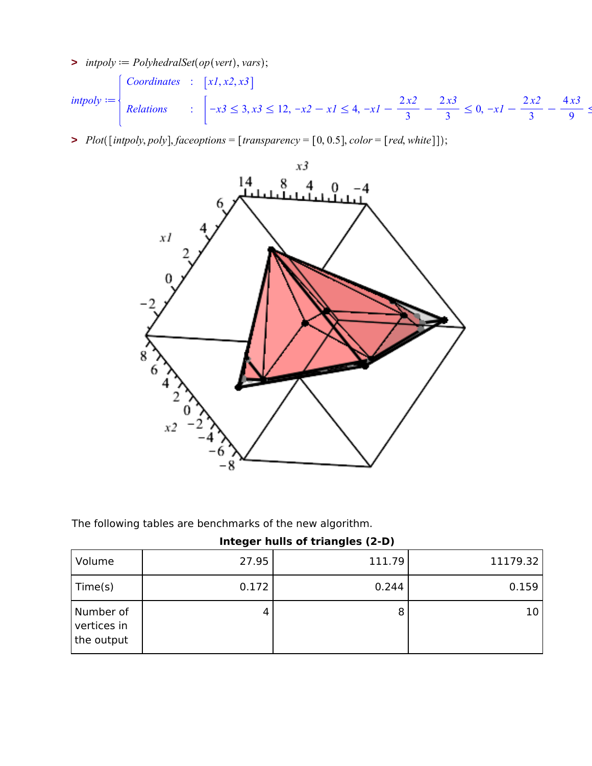$\Rightarrow$  *intpoly*  $:=$  *PolyhedralSet*(*op*(*vert*), *vars*);

 $intpoly := \{$ *Coordinates* :  $\left[x1, x2, x3\right]$ *Relations* :  $\vert -x3 \leq 3, x3 \leq 12, -x2 - x1 \leq 4, -x1 - x$ 2 *x2*  $\frac{1}{3}$ 2 *x3*  $\frac{3}{3} \leq 0, -xI - x$ 2 *x2*  $\frac{1}{3}$ 4 *x3*  $\frac{1}{9}$  s

 $\triangleright$  *Plot*([intpoly, poly], *faceoptions* = [transparency = [0, 0.5], color = [red, white]]);



The following tables are benchmarks of the new algorithm.

|  |  |  | Integer hulls of triangles (2-D) |  |
|--|--|--|----------------------------------|--|
|--|--|--|----------------------------------|--|

| Volume                                 | 27.95 | 111.79 | 11179.32 |
|----------------------------------------|-------|--------|----------|
| Time(s)                                | 0.172 | 0.244  | 0.159    |
| Number of<br>vertices in<br>the output | 4     | 8      | 10       |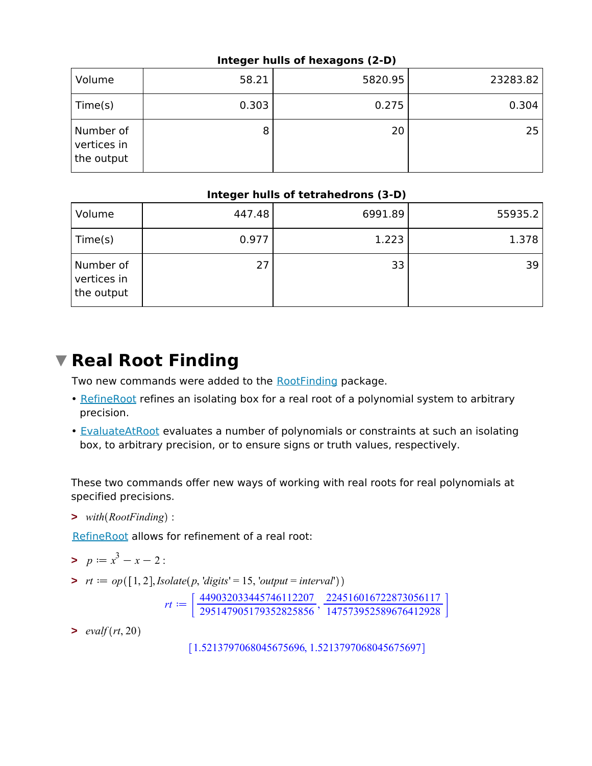#### **Integer hulls of hexagons (2-D)**

| Volume                                 | 58.21 | 5820.95 | 23283.82 |
|----------------------------------------|-------|---------|----------|
| Time(s)                                | 0.303 | 0.275   | 0.304    |
| Number of<br>vertices in<br>the output | 8     | 20      | 25       |

#### **Integer hulls of tetrahedrons (3-D)**

| Volume                                 | 447.48 | 6991.89 | 55935.2 |
|----------------------------------------|--------|---------|---------|
| Time(s)                                | 0.977  | 1.223   | 1.378   |
| Number of<br>vertices in<br>the output | 27     | 33      | 39      |

## **Real Root Finding**

Two new commands were added to the RootFinding package.

- RefineRoot refines an isolating box for a real root of a polynomial system to arbitrary precision.
- **EvaluateAtRoot** evaluates a number of polynomials or constraints at such an isolating box, to arbitrary precision, or to ensure signs or truth values, respectively.

These two commands offer new ways of working with real roots for real polynomials at specified precisions.

**>** *with RootFinding* :

RefineRoot allows for refinement of a real root:

- $p := x^3 x 2$ :
- $\Rightarrow$   $rt := op([1, 2], Isolate(p, 'digits' = 15, 'output = interval'))$

 $rt := \left[ \frac{449032033445746112207}{295147905179352825856}, \frac{224516016722873056117}{147573952589676412928} \right]$ 147573952589676412928

 $\rightarrow \text{evalf}(rt, 20)$ 

1.5213797068045675696, 1.5213797068045675697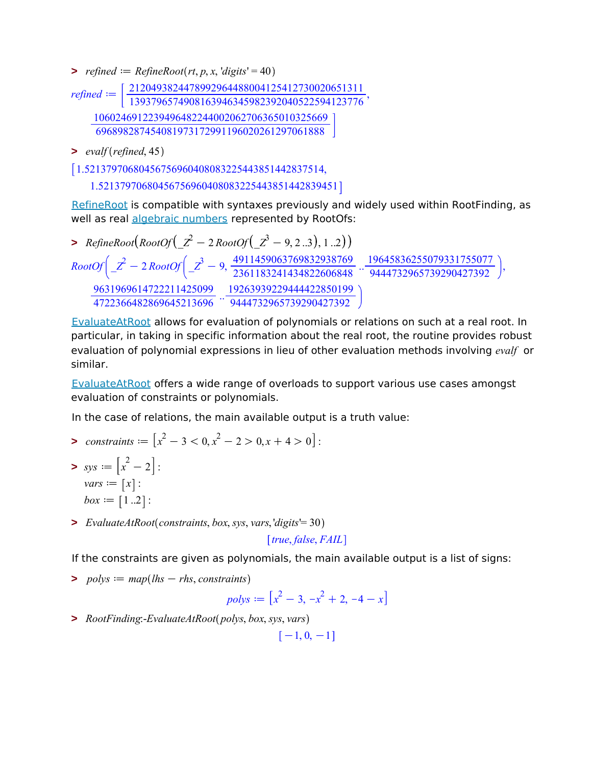$\Rightarrow$  *refined*  $:=$  *RefineRoot*(*rt*, *p*, *x*, '*digits*' = 40

*refined* ==  $\left[ \frac{2120493824478992964488004125412730020651311  
1393796574908163946345982392040522594123776$ 1060246912239496482244002062706365010325669 696898287454081973172991196020261297061888

**>** *evalf refined*, 45

1.52137970680456756960408083225443851442837514,

1.52137970680456756960408083225443851442839451

RefineRoot is compatible with syntaxes previously and widely used within RootFinding, as well as real algebraic numbers represented by RootOfs:

**>**  $RefineRoot(RootOf(\_Z^2 - 2RootOf(\_Z^3 - 9, 2..3), 1..2))$  ${\it RootOf} \Big( \_Z^2 - 2\,{\it RootOf} \Big( \_Z^3 - 9, \frac{4911459063769832938769}{2361183241434822606848} \ . . \frac{19645836255079331755077}{9444732965739290427392} \Big),$ 9631969614722211425099 <sup>4722366482869645213696</sup> .. 19263939229444422850199 9444732965739290427392

EvaluateAtRoot allows for evaluation of polynomials or relations on such at a real root. In particular, in taking in specific information about the real root, the routine provides robust evaluation of polynomial expressions in lieu of other evaluation methods involving *evalf* or similar.

EvaluateAtRoot offers a wide range of overloads to support various use cases amongst evaluation of constraints or polynomials.

In the case of relations, the main available output is a truth value:

- *constraints*  $:= [x^2 3 < 0, x^2 2 > 0, x + 4 > 0]$ :  $sys := \left[x^2 - 2\right]$ :
- $vars := [x]$ : *box*  $:= [1..2]$ :
- **>** *EvaluateAtRoot constraints*, *box*, *sys*, *vars*, '*digits*'= 30

*true*, *false*, *FAIL*

If the constraints are given as polynomials, the main available output is a list of signs:

 $\Rightarrow$  *polys*  $:=$  *map*(*lhs*  $-$  *rhs*, *constraints*)

$$
polys := \left[x^2 - 3, -x^2 + 2, -4 - x\right]
$$

**>** *RootFinding*:-*EvaluateAtRoot polys*, *box*, *sys*, *vars*

 $[-1, 0, -1]$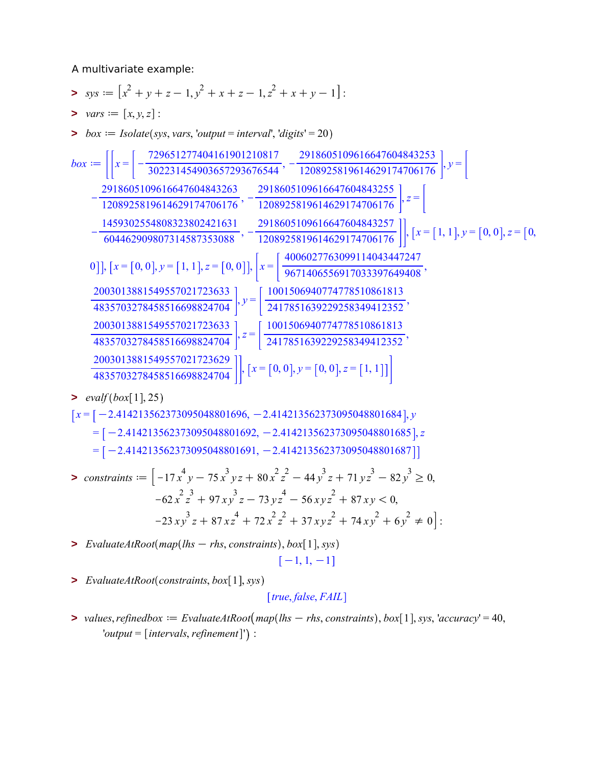A multivariate example:

- $\mathbf{y} \cdot \mathbf{y} = \left[ x^2 + y + z 1, y^2 + x + z 1, z^2 + x + y 1 \right]$
- $> vars := [x, y, z]$ :
- $\Rightarrow$  *box*  $:=$  *Isolate*(*sys, vars, 'output* = *interval', 'digits'* = 20)

$$
box := \left[ \left[ x = \left[ -\frac{729651277404161901210817}{302231454903657293676544}, -\frac{2918605109616647604843253}{1208925819614629174706176} \right], y = \left[ -\frac{2918605109616647604843255}{1208925819614629174706176}, -\frac{2918605109616647604843255}{1208925819614629174706176} \right], z = \left[ -\frac{1459302554808323802421631}{604462909807314587353088}, -\frac{2918605109616647604843257}{1208925819614629174706176} \right], [x = [1, 1], y = [0, 0], z = [0, 0]], [x = [0, 0], y = [1, 1], z = [0, 0]], \left[ x = \left[ \frac{4006027763099114043447247}{9671406556917033397649408}, \frac{2003013881549557021723633}{4835703278458516698824704} \right], y = \left[ \frac{1001506940774778510861813}{2417851639229258349412352}, \frac{2003013881549557021723633}{4835703278458516698824704} \right], z = \left[ \frac{1001506940774778510861813}{2417851639229258349412352}, \frac{2003013881549557021723629}{48357032784585
$$

 $\rightarrow \text{evalf}(box[1], 25)$ 

$$
[x = [-2.414213562373095048801696, -2.414213562373095048801684], y
$$
  
= [-2.414213562373095048801692, -2.414213562373095048801685], z  
= [-2.414213562373095048801691, -2.414213562373095048801687]]

$$
\begin{aligned}\n&\text{S} \text{~:} \text{~:} \text{~:} \text{~:} \text{~:} \text{~:} \text{~:} \text{~:} \text{~:} \text{~:} \text{~:} \text{~:} \text{~:} \text{~:} \text{~:} \text{~:} \text{~:} \text{~:} \text{~:} \text{~:} \text{~:} \text{~:} \text{~:} \text{~:} \text{~:} \text{~:} \text{~:} \text{~:} \text{~:} \text{~:} \text{~:} \text{~:} \text{~:} \text{~:} \text{~:} \text{~:} \text{~:} \text{~:} \text{~:} \text{~:} \text{~:} \text{~:} \text{~:} \text{~:} \text{~:} \text{~:} \text{~:} \text{~:} \text{~:} \text{~:} \text{~:} \text{~:} \text{~:} \text{~:} \text{~:} \text{~:} \text{~:} \text{~:} \text{~:} \text{~:} \text{~:} \text{~:} \text{~:} \text{~:} \text{~:} \text{~:} \text{~:} \text{~:} \text{~:} \text{~:} \text{~:} \text{~:} \text{~:} \text{~:} \text{~:} \text{~:} \text{~:} \text{~:} \text{~:} \text{~:} \text{~:} \text{~:} \text{~:} \text{~:} \text{~:} \text{~:} \text{~:} \text{~:} \text{~:} \text{~:} \text{~:} \text{~:} \text{~:} \text{~:} \text{~:} \text{~:} \text{~:} \text{~:} \text{~:} \text{~:} \text{~:} \text{~:} \text{~:} \text{~:} \text{~:} \text{~:} \text{~:} \text{~:} \text{~:} \text{~:} \text{~:} \text{~:} \text{~:} \text{~:} \text{~:} \text{~:} \text{~:} \text{~:} \text{~:} \text{~:} \text{~:} \text{~:} \text{~:} \text{~:} \text{~
$$

- $\triangleright$  *EvaluateAtRoot*( $map(lhs rhs, constants)$ ,  $box[1], sys)$  $[-1, 1, -1]$
- > *EvaluateAtRoot*(*constraints, box*[1], *sys*)

*true*, *false*, *FAIL*

 $\triangleright$  *values, refinedbox*  $:=$  *EvaluateAtRoot*( $map(lhs - rhs, constants)$ ,  $box[1]$ , *sys, 'accuracy'* = 40,  $'output = [intervals, refinement]')$ :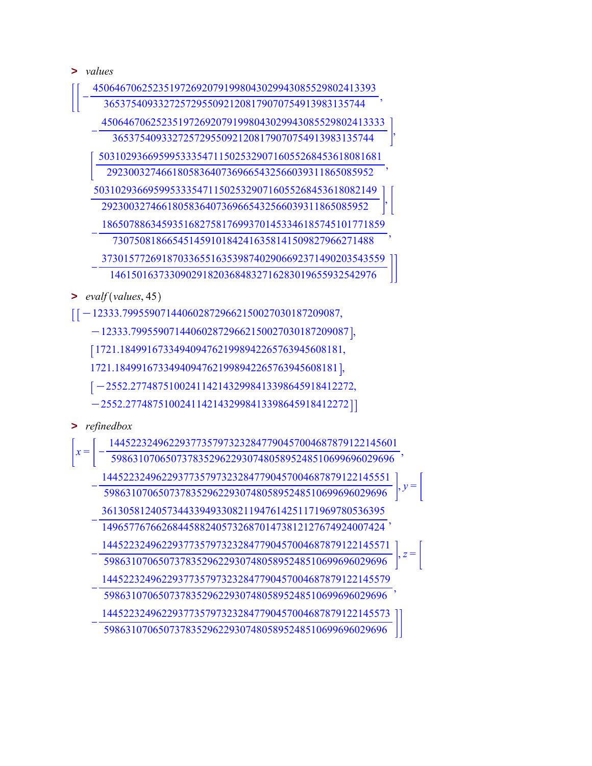**>** *values*

| 4506467062523519726920791998043029943085529802413393 |                                                      |
|------------------------------------------------------|------------------------------------------------------|
| 365375409332725729550921208179070754913983135744     |                                                      |
| 4506467062523519726920791998043029943085529802413333 |                                                      |
| 365375409332725729550921208179070754913983135744     |                                                      |
| 5031029366959953335471150253290716055268453618081681 |                                                      |
| 2923003274661805836407369665432566039311865085952    |                                                      |
| 5031029366959953335471150253290716055268453618082149 |                                                      |
| 2923003274661805836407369665432566039311865085952    |                                                      |
|                                                      | 1865078863459351682758176993701453346185745101771859 |
| 730750818665451459101842416358141509827966271488     |                                                      |
| 3730157726918703365516353987402906692371490203543559 |                                                      |
| 1461501637330902918203684832716283019655932542976    |                                                      |
| evalf(values, 45)                                    |                                                      |

 $\left[\left[-12333.7995590714406028729662150027030187209087, \right. \right.$ 

 $-12333.7995590714406028729662150027030187209087\},$ 

1721.18499167334940947621998942265763945608181,

1721.18499167334940947621998942265763945608181 ,

 $[-2552.27748751002411421432998413398645918412272,$ 

 $[-2552.27748751002411421432998413398645918412272]]$ 

**>** *refinedbox*

|       | 14452232496229377357973232847790457004687879122145601 |  |
|-------|-------------------------------------------------------|--|
| $x =$ | 5986310706507378352962293074805895248510699696029696  |  |
|       | 14452232496229377357973232847790457004687879122145551 |  |
|       | 5986310706507378352962293074805895248510699696029696  |  |
|       | 3613058124057344339493308211947614251171969780536395  |  |
|       | 1496577676626844588240573268701473812127674924007424  |  |
|       | 14452232496229377357973232847790457004687879122145571 |  |
|       | 5986310706507378352962293074805895248510699696029696  |  |
|       | 14452232496229377357973232847790457004687879122145579 |  |
|       | 5986310706507378352962293074805895248510699696029696  |  |
|       | 14452232496229377357973232847790457004687879122145573 |  |
|       | 5986310706507378352962293074805895248510699696029696  |  |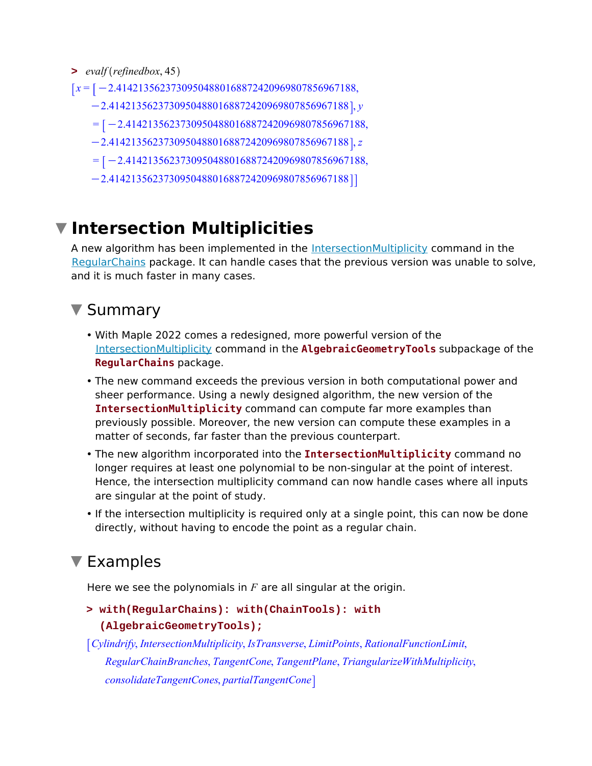- **>** *evalf refinedbox*, 45
- *x* =  $\vert x$  =  $\vert -2.41421356237309504880168872420969807856967188$ ,
	- $-2.41421356237309504880168872420969807856967188$ ,  $y$
	- $=$  [-2.41421356237309504880168872420969807856967188,
	- K2.41421356237309504880168872420969807856967188 , *z*
	- $= [-2.41421356237309504880168872420969807856967188,$
	- $[-2.41421356237309504880168872420969807856967188]$

## **Intersection Multiplicities**

A new algorithm has been implemented in the **IntersectionMultiplicity** command in the RegularChains package. It can handle cases that the previous version was unable to solve, and it is much faster in many cases.

### ▼ Summary

- With Maple 2022 comes a redesigned, more powerful version of the IntersectionMultiplicity command in the **AlgebraicGeometryTools** subpackage of the **RegularChains** package.
- The new command exceeds the previous version in both computational power and sheer performance. Using a newly designed algorithm, the new version of the **IntersectionMultiplicity** command can compute far more examples than previously possible. Moreover, the new version can compute these examples in a matter of seconds, far faster than the previous counterpart.
- The new algorithm incorporated into the **IntersectionMultiplicity** command no longer requires at least one polynomial to be non-singular at the point of interest. Hence, the intersection multiplicity command can now handle cases where all inputs are singular at the point of study.
- If the intersection multiplicity is required only at a single point, this can now be done directly, without having to encode the point as a regular chain.

## ▼ Examples

Here we see the polynomials in *F* are all singular at the origin.

```
with(RegularChains): with(ChainTools): with
> 
  (AlgebraicGeometryTools);
```

```
Cylindrify, IntersectionMultiplicity, IsTransverse, LimitPoints, RationalFunctionLimit,
   RegularChainBranches, TangentCone, TangentPlane, TriangularizeWithMultiplicity,
   consolidateTangentCones, partialTangentCone
```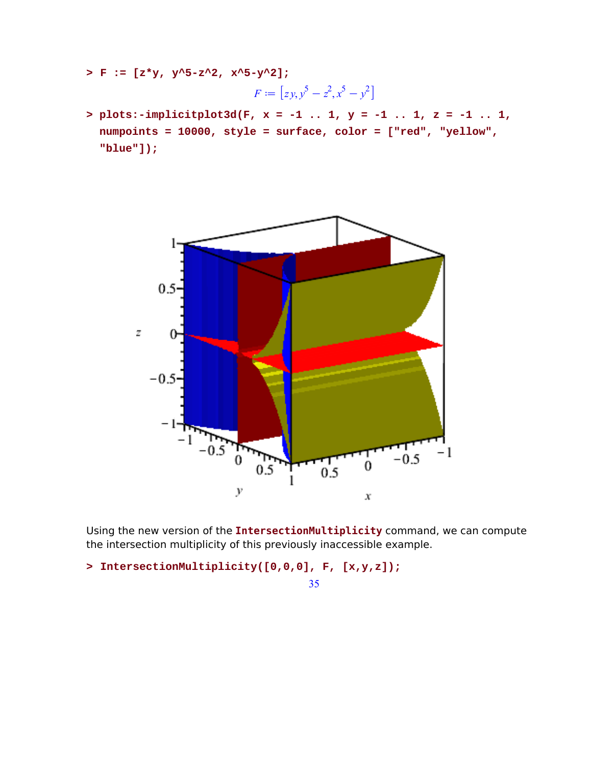**> F := [z\*y, y^5-z^2, x^5-y^2];**

$$
F := [zy, y^5 - z^2, x^5 - y^2]
$$

**plots:-implicitplot3d(F, x = -1 .. 1, y = -1 .. 1, z = -1 .. 1, > numpoints = 10000, style = surface, color = ["red", "yellow", "blue"]);**



Using the new version of the **IntersectionMultiplicity** command, we can compute the intersection multiplicity of this previously inaccessible example.

**> IntersectionMultiplicity([0,0,0], F, [x,y,z]);**

35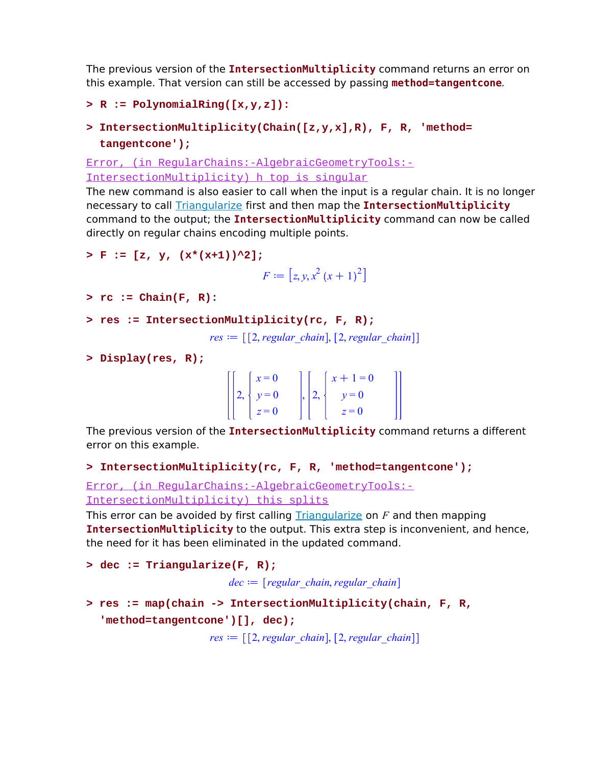The previous version of the **IntersectionMultiplicity** command returns an error on this example. That version can still be accessed by passing **method=tangentcone**.

```
> R := PolynomialRing([x,y,z]):
```

```
IntersectionMultiplicity(Chain([z,y,x],R), F, R, 'method=
> 
 tangentcone');
```
Error, (in RegularChains:-AlgebraicGeometryTools:- IntersectionMultiplicity) h top is singular

The new command is also easier to call when the input is a regular chain. It is no longer necessary to call Triangularize first and then map the **IntersectionMultiplicity** command to the output; the **IntersectionMultiplicity** command can now be called directly on regular chains encoding multiple points.

```
> F := [z, y, (x*(x+1))^2];
```

```
F := [z, y, x^2 (x + 1)^2]
```

```
> rc := Chain(F, R):
```

```
> res := IntersectionMultiplicity(rc, F, R);
```
 $res := \left[ \begin{bmatrix} 2, regular \ chain \end{bmatrix}, \begin{bmatrix} 2, regular \ chain \end{bmatrix} \right]$ 

**> Display(res, R);**

|  |                                                         |  | $\begin{cases} \begin{cases} x+1=0 \\ y=0 \end{cases} \end{cases}$            |  |
|--|---------------------------------------------------------|--|-------------------------------------------------------------------------------|--|
|  | $\begin{bmatrix} x = 0 \\ y = 0 \\ z = 0 \end{bmatrix}$ |  | $\begin{array}{c} \n \begin{array}{c} \n z = 0 \n \end{array} \n \end{array}$ |  |

The previous version of the **IntersectionMultiplicity** command returns a different error on this example.

```
> IntersectionMultiplicity(rc, F, R, 'method=tangentcone');
```
Error, (in RegularChains:-AlgebraicGeometryTools:- IntersectionMultiplicity) this splits

This error can be avoided by first calling Triangularize on *F* and then mapping **IntersectionMultiplicity** to the output. This extra step is inconvenient, and hence, the need for it has been eliminated in the updated command.

```
> dec := Triangularize(F, R);
                         dec \coloneqq [regular chain, regular chain]res := map(chain -> IntersectionMultiplicity(chain, F, R, 
> 
  'method=tangentcone')[], dec);
                      res := [[2, regular chain], [2, regular chain]]
```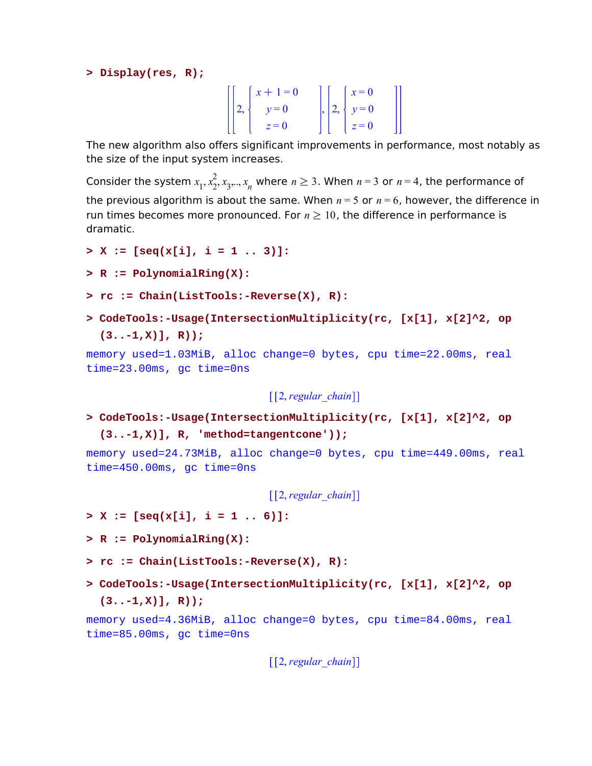**> Display(res, R);**

|  |                                                                                        |  | $\begin{array}{ c c } \hline x=0 \end{array}$ |  |
|--|----------------------------------------------------------------------------------------|--|-----------------------------------------------|--|
|  | $\left[\left[2, \left\{\begin{array}{c} x+1=0 \\ y=0 \end{array}\right.\right.\right]$ |  | ,   2,   $y = 0$                              |  |
|  | $z=0$                                                                                  |  | $z=0$                                         |  |

The new algorithm also offers significant improvements in performance, most notably as the size of the input system increases.

Consider the system  $x_1, x_2^2$ ,  $\frac{2}{2}$ ,  $x_3,..,x_n$  where  $n \geq 3$ . When  $n = 3$  or  $n = 4$ , the performance of the previous algorithm is about the same. When  $n = 5$  or  $n = 6$ , however, the difference in run times becomes more pronounced. For  $n \geq 10$ , the difference in performance is dramatic.

- **> X := [seq(x[i], i = 1 .. 3)]:**
- **> R := PolynomialRing(X):**
- **> rc := Chain(ListTools:-Reverse(X), R):**
- **CodeTools:-Usage(IntersectionMultiplicity(rc, [x[1], x[2]^2, op > (3..-1,X)], R));**

memory used=1.03MiB, alloc change=0 bytes, cpu time=22.00ms, real time=23.00ms, gc time=0ns

[[2, *regular\_chain*]]

**CodeTools:-Usage(IntersectionMultiplicity(rc, [x[1], x[2]^2, op > (3..-1,X)], R, 'method=tangentcone'));**

memory used=24.73MiB, alloc change=0 bytes, cpu time=449.00ms, real time=450.00ms, gc time=0ns

2, *regular\_chain*

**> X := [seq(x[i], i = 1 .. 6)]:**

- **> R := PolynomialRing(X):**
- **> rc := Chain(ListTools:-Reverse(X), R):**
- **CodeTools:-Usage(IntersectionMultiplicity(rc, [x[1], x[2]^2, op > (3..-1,X)], R));**

memory used=4.36MiB, alloc change=0 bytes, cpu time=84.00ms, real time=85.00ms, gc time=0ns

[[2, *regular\_chain*]]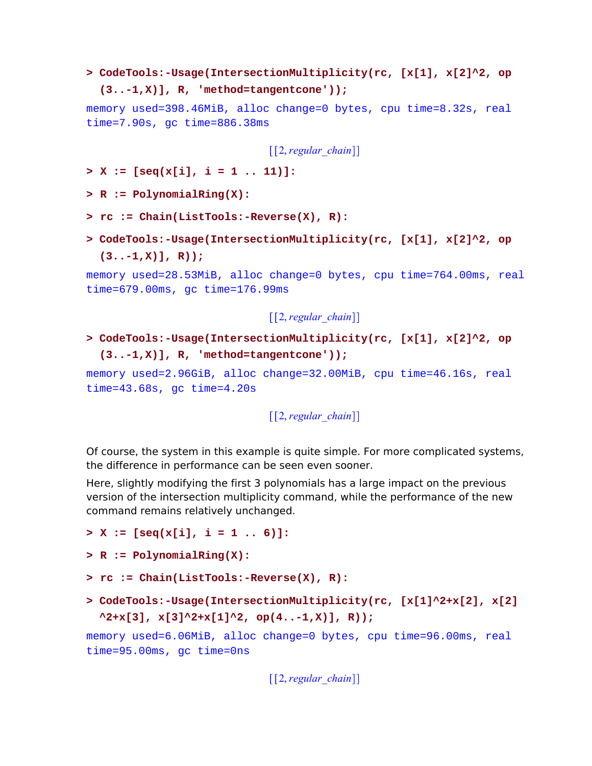```
CodeTools:-Usage(IntersectionMultiplicity(rc, [x[1], x[2]^2, op
> 
  (3..-1,X)], R, 'method=tangentcone'));
```
memory used=398.46MiB, alloc change=0 bytes, cpu time=8.32s, real time=7.90s, gc time=886.38ms

[[2, *regular\_chain*]]

**> X := [seq(x[i], i = 1 .. 11)]:**

**> R := PolynomialRing(X):**

- **> rc := Chain(ListTools:-Reverse(X), R):**
- **CodeTools:-Usage(IntersectionMultiplicity(rc, [x[1], x[2]^2, op > (3..-1,X)], R));**

memory used=28.53MiB, alloc change=0 bytes, cpu time=764.00ms, real time=679.00ms, gc time=176.99ms

[[2, *regular\_chain*]]

**CodeTools:-Usage(IntersectionMultiplicity(rc, [x[1], x[2]^2, op > (3..-1,X)], R, 'method=tangentcone'));**

memory used=2.96GiB, alloc change=32.00MiB, cpu time=46.16s, real time=43.68s, gc time=4.20s

[[2, *regular\_chain*]]

Of course, the system in this example is quite simple. For more complicated systems, the difference in performance can be seen even sooner.

Here, slightly modifying the first 3 polynomials has a large impact on the previous version of the intersection multiplicity command, while the performance of the new command remains relatively unchanged.

```
> X := [seq(x[i], i = 1 .. 6)]:
```

```
> R := PolynomialRing(X):
```

```
> rc := Chain(ListTools:-Reverse(X), R):
```
**CodeTools:-Usage(IntersectionMultiplicity(rc, [x[1]^2+x[2], x[2] >**   $\lambda$ 2+x[3], x[3] $\lambda$ 2+x[1] $\lambda$ 2, op(4..-1,X)], R));

memory used=6.06MiB, alloc change=0 bytes, cpu time=96.00ms, real time=95.00ms, gc time=0ns

[[2, *regular\_chain*]]